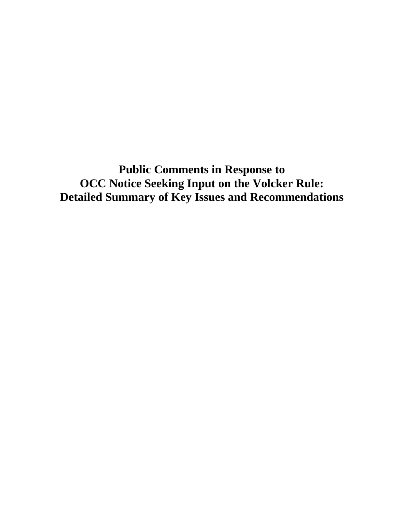**Public Comments in Response to OCC Notice Seeking Input on the Volcker Rule: Detailed Summary of Key Issues and Recommendations**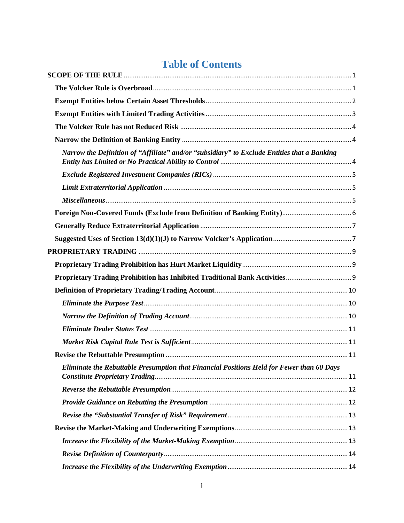# **Table of Contents**

| Narrow the Definition of "Affiliate" and/or "subsidiary" to Exclude Entities that a Banking |
|---------------------------------------------------------------------------------------------|
|                                                                                             |
|                                                                                             |
|                                                                                             |
|                                                                                             |
|                                                                                             |
|                                                                                             |
|                                                                                             |
|                                                                                             |
|                                                                                             |
|                                                                                             |
|                                                                                             |
|                                                                                             |
|                                                                                             |
|                                                                                             |
|                                                                                             |
| Eliminate the Rebuttable Presumption that Financial Positions Held for Fewer than 60 Days   |
|                                                                                             |
|                                                                                             |
|                                                                                             |
|                                                                                             |
|                                                                                             |
|                                                                                             |
|                                                                                             |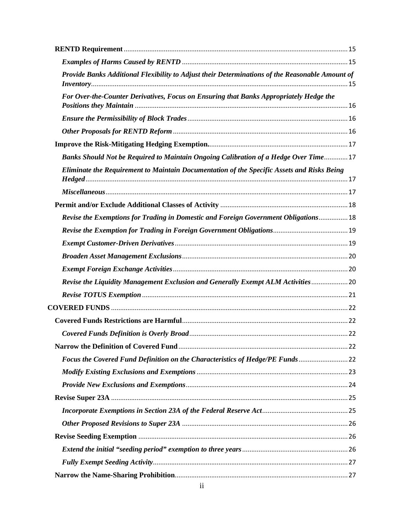| Provide Banks Additional Flexibility to Adjust their Determinations of the Reasonable Amount of |  |
|-------------------------------------------------------------------------------------------------|--|
| For Over-the-Counter Derivatives, Focus on Ensuring that Banks Appropriately Hedge the          |  |
|                                                                                                 |  |
|                                                                                                 |  |
|                                                                                                 |  |
| Banks Should Not be Required to Maintain Ongoing Calibration of a Hedge Over Time 17            |  |
| Eliminate the Requirement to Maintain Documentation of the Specific Assets and Risks Being      |  |
|                                                                                                 |  |
|                                                                                                 |  |
| Revise the Exemptions for Trading in Domestic and Foreign Government Obligations 18             |  |
|                                                                                                 |  |
|                                                                                                 |  |
|                                                                                                 |  |
|                                                                                                 |  |
| Revise the Liquidity Management Exclusion and Generally Exempt ALM Activities  20               |  |
|                                                                                                 |  |
|                                                                                                 |  |
|                                                                                                 |  |
|                                                                                                 |  |
|                                                                                                 |  |
| Focus the Covered Fund Definition on the Characteristics of Hedge/PE Funds 22                   |  |
|                                                                                                 |  |
|                                                                                                 |  |
|                                                                                                 |  |
|                                                                                                 |  |
|                                                                                                 |  |
|                                                                                                 |  |
|                                                                                                 |  |
|                                                                                                 |  |
|                                                                                                 |  |
|                                                                                                 |  |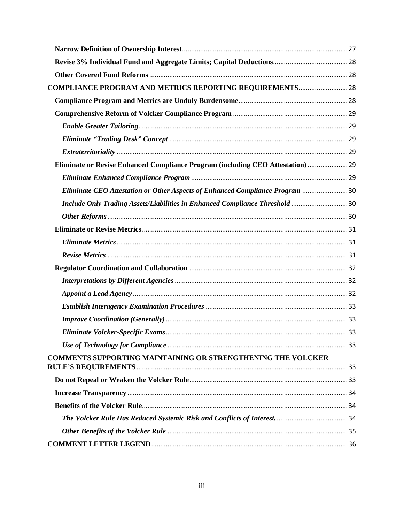| <b>COMPLIANCE PROGRAM AND METRICS REPORTING REQUIREMENTS 28</b>                 |  |
|---------------------------------------------------------------------------------|--|
|                                                                                 |  |
|                                                                                 |  |
|                                                                                 |  |
|                                                                                 |  |
|                                                                                 |  |
| Eliminate or Revise Enhanced Compliance Program (including CEO Attestation)  29 |  |
|                                                                                 |  |
| Eliminate CEO Attestation or Other Aspects of Enhanced Compliance Program 30    |  |
| Include Only Trading Assets/Liabilities in Enhanced Compliance Threshold 30     |  |
|                                                                                 |  |
|                                                                                 |  |
|                                                                                 |  |
|                                                                                 |  |
|                                                                                 |  |
|                                                                                 |  |
|                                                                                 |  |
|                                                                                 |  |
|                                                                                 |  |
|                                                                                 |  |
|                                                                                 |  |
| COMMENTS SUPPORTING MAINTAINING OR STRENGTHENING THE VOLCKER                    |  |
|                                                                                 |  |
|                                                                                 |  |
|                                                                                 |  |
|                                                                                 |  |
|                                                                                 |  |
|                                                                                 |  |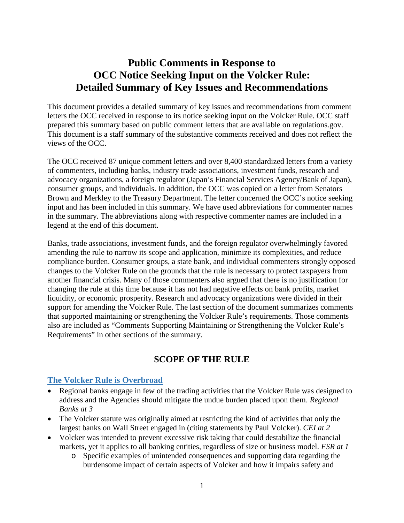# **Public Comments in Response to OCC Notice Seeking Input on the Volcker Rule: Detailed Summary of Key Issues and Recommendations**

This document provides a detailed summary of key issues and recommendations from comment letters the OCC received in response to its notice seeking input on the Volcker Rule. OCC staff prepared this summary based on public comment letters that are available on regulations.gov. This document is a staff summary of the substantive comments received and does not reflect the views of the OCC.

The OCC received 87 unique comment letters and over 8,400 standardized letters from a variety of commenters, including banks, industry trade associations, investment funds, research and advocacy organizations, a foreign regulator (Japan's Financial Services Agency/Bank of Japan), consumer groups, and individuals. In addition, the OCC was copied on a letter from Senators Brown and Merkley to the Treasury Department. The letter concerned the OCC's notice seeking input and has been included in this summary. We have used abbreviations for commenter names in the summary. The abbreviations along with respective commenter names are included in a legend at the end of this document.

Banks, trade associations, investment funds, and the foreign regulator overwhelmingly favored amending the rule to narrow its scope and application, minimize its complexities, and reduce compliance burden. Consumer groups, a state bank, and individual commenters strongly opposed changes to the Volcker Rule on the grounds that the rule is necessary to protect taxpayers from another financial crisis. Many of those commenters also argued that there is no justification for changing the rule at this time because it has not had negative effects on bank profits, market liquidity, or economic prosperity. Research and advocacy organizations were divided in their support for amending the Volcker Rule. The last section of the document summarizes comments that supported maintaining or strengthening the Volcker Rule's requirements. Those comments also are included as "Comments Supporting Maintaining or Strengthening the Volcker Rule's Requirements" in other sections of the summary.

# **SCOPE OF THE RULE**

### <span id="page-4-1"></span><span id="page-4-0"></span>**The Volcker Rule is Overbroad**

- Regional banks engage in few of the trading activities that the Volcker Rule was designed to address and the Agencies should mitigate the undue burden placed upon them. *Regional Banks at 3*
- The Volcker statute was originally aimed at restricting the kind of activities that only the largest banks on Wall Street engaged in (citing statements by Paul Volcker). *CEI at 2*
- Volcker was intended to prevent excessive risk taking that could destabilize the financial markets, yet it applies to all banking entities, regardless of size or business model. *FSR at 1*
	- o Specific examples of unintended consequences and supporting data regarding the burdensome impact of certain aspects of Volcker and how it impairs safety and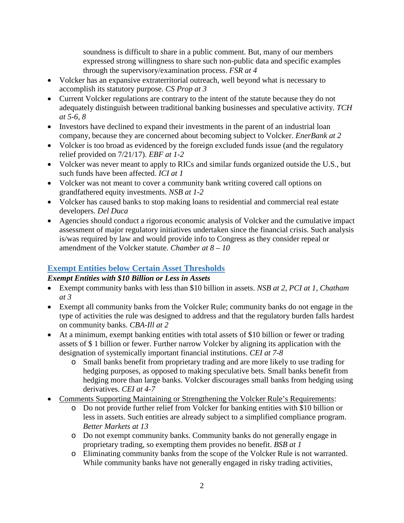soundness is difficult to share in a public comment. But, many of our members expressed strong willingness to share such non-public data and specific examples through the supervisory/examination process. *FSR at 4*

- Volcker has an expansive extraterritorial outreach, well beyond what is necessary to accomplish its statutory purpose. *CS Prop at 3*
- Current Volcker regulations are contrary to the intent of the statute because they do not adequately distinguish between traditional banking businesses and speculative activity. *TCH at 5-6, 8*
- Investors have declined to expand their investments in the parent of an industrial loan company, because they are concerned about becoming subject to Volcker. *EnerBank at 2*
- Volcker is too broad as evidenced by the foreign excluded funds issue (and the regulatory relief provided on 7/21/17). *EBF at 1-2*
- Volcker was never meant to apply to RICs and similar funds organized outside the U.S., but such funds have been affected. *ICI at 1*
- Volcker was not meant to cover a community bank writing covered call options on grandfathered equity investments. *NSB at 1-2*
- Volcker has caused banks to stop making loans to residential and commercial real estate developers. *Del Duca*
- Agencies should conduct a rigorous economic analysis of Volcker and the cumulative impact assessment of major regulatory initiatives undertaken since the financial crisis. Such analysis is/was required by law and would provide info to Congress as they consider repeal or amendment of the Volcker statute. *Chamber at 8 – 10*

# <span id="page-5-0"></span>**Exempt Entities below Certain Asset Thresholds**

## *Exempt Entities with \$10 Billion or Less in Assets*

- Exempt community banks with less than \$10 billion in assets. *NSB at 2, PCI at 1, Chatham at 3*
- Exempt all community banks from the Volcker Rule; community banks do not engage in the type of activities the rule was designed to address and that the regulatory burden falls hardest on community banks. *CBA-Ill at 2*
- At a minimum, exempt banking entities with total assets of \$10 billion or fewer or trading assets of \$ 1 billion or fewer. Further narrow Volcker by aligning its application with the designation of systemically important financial institutions. *CEI at 7-8*
	- o Small banks benefit from proprietary trading and are more likely to use trading for hedging purposes, as opposed to making speculative bets. Small banks benefit from hedging more than large banks. Volcker discourages small banks from hedging using derivatives. *CEI at 4-7*
- Comments Supporting Maintaining or Strengthening the Volcker Rule's Requirements:
	- o Do not provide further relief from Volcker for banking entities with \$10 billion or less in assets. Such entities are already subject to a simplified compliance program. *Better Markets at 13*
	- o Do not exempt community banks. Community banks do not generally engage in proprietary trading, so exempting them provides no benefit. *BSB at 1*
	- o Eliminating community banks from the scope of the Volcker Rule is not warranted. While community banks have not generally engaged in risky trading activities,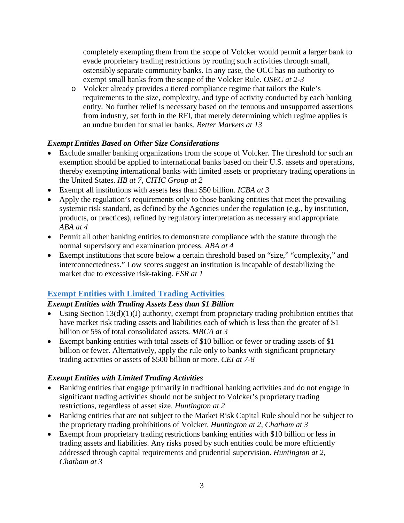completely exempting them from the scope of Volcker would permit a larger bank to evade proprietary trading restrictions by routing such activities through small, ostensibly separate community banks. In any case, the OCC has no authority to exempt small banks from the scope of the Volcker Rule. *OSEC at 2-3*

o Volcker already provides a tiered compliance regime that tailors the Rule's requirements to the size, complexity, and type of activity conducted by each banking entity. No further relief is necessary based on the tenuous and unsupported assertions from industry, set forth in the RFI, that merely determining which regime applies is an undue burden for smaller banks. *Better Markets at 13*

### *Exempt Entities Based on Other Size Considerations*

- Exclude smaller banking organizations from the scope of Volcker. The threshold for such an exemption should be applied to international banks based on their U.S. assets and operations, thereby exempting international banks with limited assets or proprietary trading operations in the United States. *IIB at 7, CITIC Group at 2*
- Exempt all institutions with assets less than \$50 billion. *ICBA at 3*
- Apply the regulation's requirements only to those banking entities that meet the prevailing systemic risk standard, as defined by the Agencies under the regulation (e.g., by institution, products, or practices), refined by regulatory interpretation as necessary and appropriate. *ABA at 4*
- Permit all other banking entities to demonstrate compliance with the statute through the normal supervisory and examination process. *ABA at 4*
- Exempt institutions that score below a certain threshold based on "size," "complexity," and interconnectedness." Low scores suggest an institution is incapable of destabilizing the market due to excessive risk-taking. *FSR at 1*

# <span id="page-6-0"></span>**Exempt Entities with Limited Trading Activities**

## *Exempt Entities with Trading Assets Less than \$1 Billion*

- Using Section  $13(d)(1)(J)$  authority, exempt from proprietary trading prohibition entities that have market risk trading assets and liabilities each of which is less than the greater of \$1 billion or 5% of total consolidated assets. *MBCA at 3*
- Exempt banking entities with total assets of \$10 billion or fewer or trading assets of \$1 billion or fewer. Alternatively, apply the rule only to banks with significant proprietary trading activities or assets of \$500 billion or more. *CEI at 7-8*

### *Exempt Entities with Limited Trading Activities*

- Banking entities that engage primarily in traditional banking activities and do not engage in significant trading activities should not be subject to Volcker's proprietary trading restrictions, regardless of asset size. *Huntington at 2*
- Banking entities that are not subject to the Market Risk Capital Rule should not be subject to the proprietary trading prohibitions of Volcker. *Huntington at 2, Chatham at 3*
- Exempt from proprietary trading restrictions banking entities with \$10 billion or less in trading assets and liabilities. Any risks posed by such entities could be more efficiently addressed through capital requirements and prudential supervision. *Huntington at 2, Chatham at 3*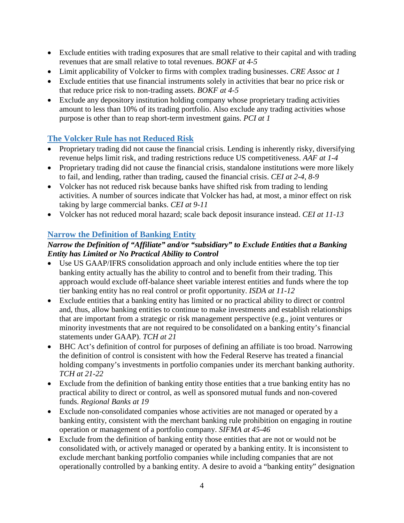- Exclude entities with trading exposures that are small relative to their capital and with trading revenues that are small relative to total revenues. *BOKF at 4-5*
- Limit applicability of Volcker to firms with complex trading businesses. *CRE Assoc at 1*
- Exclude entities that use financial instruments solely in activities that bear no price risk or that reduce price risk to non-trading assets. *BOKF at 4-5*
- Exclude any depository institution holding company whose proprietary trading activities amount to less than 10% of its trading portfolio. Also exclude any trading activities whose purpose is other than to reap short-term investment gains. *PCI at 1*

# <span id="page-7-0"></span>**The Volcker Rule has not Reduced Risk**

- Proprietary trading did not cause the financial crisis. Lending is inherently risky, diversifying revenue helps limit risk, and trading restrictions reduce US competitiveness. *AAF at 1-4*
- Proprietary trading did not cause the financial crisis, standalone institutions were more likely to fail, and lending, rather than trading, caused the financial crisis. *CEI at 2-4, 8-9*
- Volcker has not reduced risk because banks have shifted risk from trading to lending activities. A number of sources indicate that Volcker has had, at most, a minor effect on risk taking by large commercial banks. *CEI at 9-11*
- Volcker has not reduced moral hazard; scale back deposit insurance instead. *CEI at 11-13*

# <span id="page-7-1"></span>**Narrow the Definition of Banking Entity**

## <span id="page-7-2"></span>*Narrow the Definition of "Affiliate" and/or "subsidiary" to Exclude Entities that a Banking Entity has Limited or No Practical Ability to Control*

- Use US GAAP/IFRS consolidation approach and only include entities where the top tier banking entity actually has the ability to control and to benefit from their trading. This approach would exclude off-balance sheet variable interest entities and funds where the top tier banking entity has no real control or profit opportunity. *ISDA at 11-12*
- Exclude entities that a banking entity has limited or no practical ability to direct or control and, thus, allow banking entities to continue to make investments and establish relationships that are important from a strategic or risk management perspective (e.g., joint ventures or minority investments that are not required to be consolidated on a banking entity's financial statements under GAAP). *TCH at 21*
- BHC Act's definition of control for purposes of defining an affiliate is too broad. Narrowing the definition of control is consistent with how the Federal Reserve has treated a financial holding company's investments in portfolio companies under its merchant banking authority. *TCH at 21-22*
- Exclude from the definition of banking entity those entities that a true banking entity has no practical ability to direct or control, as well as sponsored mutual funds and non-covered funds. *Regional Banks at 19*
- Exclude non-consolidated companies whose activities are not managed or operated by a banking entity, consistent with the merchant banking rule prohibition on engaging in routine operation or management of a portfolio company. *SIFMA at 45-46*
- Exclude from the definition of banking entity those entities that are not or would not be consolidated with, or actively managed or operated by a banking entity. It is inconsistent to exclude merchant banking portfolio companies while including companies that are not operationally controlled by a banking entity. A desire to avoid a "banking entity" designation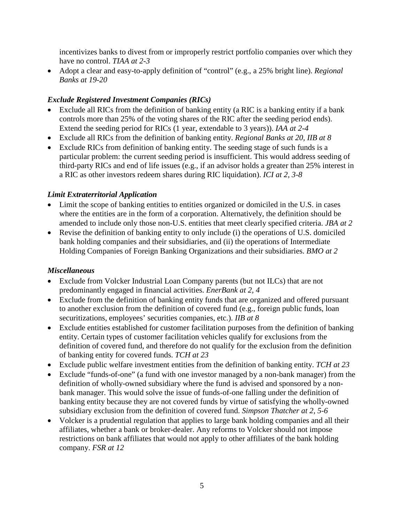incentivizes banks to divest from or improperly restrict portfolio companies over which they have no control. *TIAA at 2-3*

• Adopt a clear and easy-to-apply definition of "control" (e.g., a 25% bright line). *Regional Banks at 19-20*

## <span id="page-8-0"></span>*Exclude Registered Investment Companies (RICs)*

- Exclude all RICs from the definition of banking entity (a RIC is a banking entity if a bank controls more than 25% of the voting shares of the RIC after the seeding period ends). Extend the seeding period for RICs (1 year, extendable to 3 years)). *IAA at 2-4*
- Exclude all RICs from the definition of banking entity. *Regional Banks at 20, IIB at 8*
- Exclude RICs from definition of banking entity. The seeding stage of such funds is a particular problem: the current seeding period is insufficient. This would address seeding of third-party RICs and end of life issues (e.g., if an advisor holds a greater than 25% interest in a RIC as other investors redeem shares during RIC liquidation). *ICI at 2, 3-8*

## <span id="page-8-1"></span>*Limit Extraterritorial Application*

- Limit the scope of banking entities to entities organized or domiciled in the U.S. in cases where the entities are in the form of a corporation. Alternatively, the definition should be amended to include only those non-U.S. entities that meet clearly specified criteria. *JBA at 2*
- Revise the definition of banking entity to only include (i) the operations of U.S. domiciled bank holding companies and their subsidiaries, and (ii) the operations of Intermediate Holding Companies of Foreign Banking Organizations and their subsidiaries. *BMO at 2*

# <span id="page-8-2"></span>*Miscellaneous*

- Exclude from Volcker Industrial Loan Company parents (but not ILCs) that are not predominantly engaged in financial activities. *EnerBank at 2, 4*
- Exclude from the definition of banking entity funds that are organized and offered pursuant to another exclusion from the definition of covered fund (e.g., foreign public funds, loan securitizations, employees' securities companies, etc.). *IIB at 8*
- Exclude entities established for customer facilitation purposes from the definition of banking entity. Certain types of customer facilitation vehicles qualify for exclusions from the definition of covered fund, and therefore do not qualify for the exclusion from the definition of banking entity for covered funds. *TCH at 23*
- Exclude public welfare investment entities from the definition of banking entity. *TCH at 23*
- Exclude "funds-of-one" (a fund with one investor managed by a non-bank manager) from the definition of wholly-owned subsidiary where the fund is advised and sponsored by a nonbank manager. This would solve the issue of funds-of-one falling under the definition of banking entity because they are not covered funds by virtue of satisfying the wholly-owned subsidiary exclusion from the definition of covered fund. *Simpson Thatcher at 2, 5-6*
- Volcker is a prudential regulation that applies to large bank holding companies and all their affiliates, whether a bank or broker-dealer. Any reforms to Volcker should not impose restrictions on bank affiliates that would not apply to other affiliates of the bank holding company. *FSR at 12*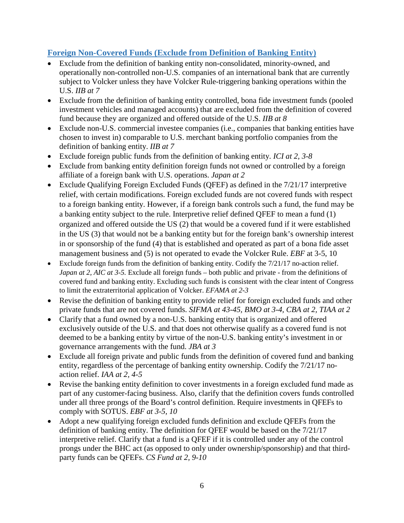## <span id="page-9-0"></span>**Foreign Non-Covered Funds (Exclude from Definition of Banking Entity)**

- Exclude from the definition of banking entity non-consolidated, minority-owned, and operationally non-controlled non-U.S. companies of an international bank that are currently subject to Volcker unless they have Volcker Rule-triggering banking operations within the U.S. *IIB at 7*
- Exclude from the definition of banking entity controlled, bona fide investment funds (pooled investment vehicles and managed accounts) that are excluded from the definition of covered fund because they are organized and offered outside of the U.S. *IIB at 8*
- Exclude non-U.S. commercial investee companies (i.e., companies that banking entities have chosen to invest in) comparable to U.S. merchant banking portfolio companies from the definition of banking entity. *IIB at 7*
- Exclude foreign public funds from the definition of banking entity. *ICI at 2, 3-8*
- Exclude from banking entity definition foreign funds not owned or controlled by a foreign affiliate of a foreign bank with U.S. operations. *Japan at 2*
- Exclude Qualifying Foreign Excluded Funds (QFEF) as defined in the  $7/21/17$  interpretive relief, with certain modifications. Foreign excluded funds are not covered funds with respect to a foreign banking entity. However, if a foreign bank controls such a fund, the fund may be a banking entity subject to the rule. Interpretive relief defined QFEF to mean a fund (1) organized and offered outside the US (2) that would be a covered fund if it were established in the US (3) that would not be a banking entity but for the foreign bank's ownership interest in or sponsorship of the fund (4) that is established and operated as part of a bona fide asset management business and (5) is not operated to evade the Volcker Rule. *EBF* at 3-5, 10
- Exclude foreign funds from the definition of banking entity. Codify the  $7/21/17$  no-action relief. *Japan at 2, AIC at 3-5.* Exclude all foreign funds – both public and private - from the definitions of covered fund and banking entity. Excluding such funds is consistent with the clear intent of Congress to limit the extraterritorial application of Volcker. *EFAMA at 2-3*
- Revise the definition of banking entity to provide relief for foreign excluded funds and other private funds that are not covered funds. *SIFMA at 43-45, BMO at 3-4, CBA at 2, TIAA at 2*
- Clarify that a fund owned by a non-U.S. banking entity that is organized and offered exclusively outside of the U.S. and that does not otherwise qualify as a covered fund is not deemed to be a banking entity by virtue of the non-U.S. banking entity's investment in or governance arrangements with the fund. *JBA at 3*
- Exclude all foreign private and public funds from the definition of covered fund and banking entity, regardless of the percentage of banking entity ownership. Codify the 7/21/17 noaction relief. *IAA at 2, 4-5*
- Revise the banking entity definition to cover investments in a foreign excluded fund made as part of any customer-facing business. Also, clarify that the definition covers funds controlled under all three prongs of the Board's control definition. Require investments in QFEFs to comply with SOTUS. *EBF at 3-5, 10*
- Adopt a new qualifying foreign excluded funds definition and exclude QFEFs from the definition of banking entity. The definition for QFEF would be based on the 7/21/17 interpretive relief. Clarify that a fund is a QFEF if it is controlled under any of the control prongs under the BHC act (as opposed to only under ownership/sponsorship) and that thirdparty funds can be QFEFs. *CS Fund at 2, 9-10*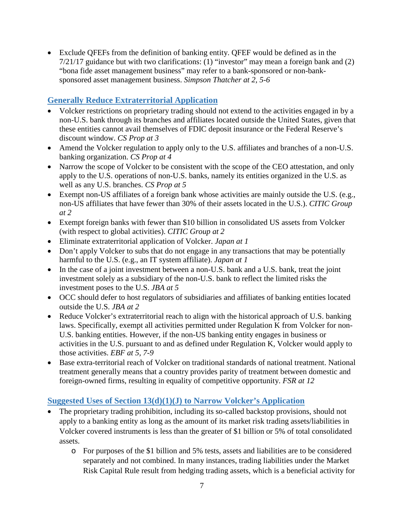• Exclude QFEFs from the definition of banking entity. QFEF would be defined as in the 7/21/17 guidance but with two clarifications: (1) "investor" may mean a foreign bank and (2) "bona fide asset management business" may refer to a bank-sponsored or non-banksponsored asset management business. *Simpson Thatcher at 2, 5-6*

# <span id="page-10-0"></span>**Generally Reduce Extraterritorial Application**

- Volcker restrictions on proprietary trading should not extend to the activities engaged in by a non-U.S. bank through its branches and affiliates located outside the United States, given that these entities cannot avail themselves of FDIC deposit insurance or the Federal Reserve's discount window. *CS Prop at 3*
- Amend the Volcker regulation to apply only to the U.S. affiliates and branches of a non-U.S. banking organization. *CS Prop at 4*
- Narrow the scope of Volcker to be consistent with the scope of the CEO attestation, and only apply to the U.S. operations of non-U.S. banks, namely its entities organized in the U.S. as well as any U.S. branches. *CS Prop at 5*
- Exempt non-US affiliates of a foreign bank whose activities are mainly outside the U.S. (e.g., non-US affiliates that have fewer than 30% of their assets located in the U.S.). *CITIC Group at 2*
- Exempt foreign banks with fewer than \$10 billion in consolidated US assets from Volcker (with respect to global activities). *CITIC Group at 2*
- Eliminate extraterritorial application of Volcker. *Japan at 1*
- Don't apply Volcker to subs that do not engage in any transactions that may be potentially harmful to the U.S. (e.g., an IT system affiliate). *Japan at 1*
- In the case of a joint investment between a non-U.S. bank and a U.S. bank, treat the joint investment solely as a subsidiary of the non-U.S. bank to reflect the limited risks the investment poses to the U.S. *JBA at 5*
- OCC should defer to host regulators of subsidiaries and affiliates of banking entities located outside the U.S. *JBA at 2*
- Reduce Volcker's extraterritorial reach to align with the historical approach of U.S. banking laws. Specifically, exempt all activities permitted under Regulation K from Volcker for non-U.S. banking entities. However, if the non-US banking entity engages in business or activities in the U.S. pursuant to and as defined under Regulation K, Volcker would apply to those activities. *EBF at 5, 7-9*
- Base extra-territorial reach of Volcker on traditional standards of national treatment. National treatment generally means that a country provides parity of treatment between domestic and foreign-owned firms, resulting in equality of competitive opportunity. *FSR at 12*

# <span id="page-10-1"></span>**Suggested Uses of Section 13(d)(1)(J) to Narrow Volcker's Application**

- The proprietary trading prohibition, including its so-called backstop provisions, should not apply to a banking entity as long as the amount of its market risk trading assets/liabilities in Volcker covered instruments is less than the greater of \$1 billion or 5% of total consolidated assets.
	- o For purposes of the \$1 billion and 5% tests, assets and liabilities are to be considered separately and not combined. In many instances, trading liabilities under the Market Risk Capital Rule result from hedging trading assets, which is a beneficial activity for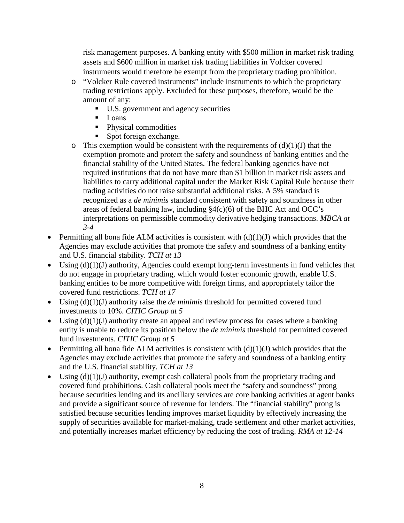risk management purposes. A banking entity with \$500 million in market risk trading assets and \$600 million in market risk trading liabilities in Volcker covered instruments would therefore be exempt from the proprietary trading prohibition.

- o "Volcker Rule covered instruments" include instruments to which the proprietary trading restrictions apply. Excluded for these purposes, therefore, would be the amount of any:
	- U.S. government and agency securities
	- **Loans**
	- Physical commodities
	- Spot foreign exchange.
- $\circ$  This exemption would be consistent with the requirements of (d)(1)(J) that the exemption promote and protect the safety and soundness of banking entities and the financial stability of the United States. The federal banking agencies have not required institutions that do not have more than \$1 billion in market risk assets and liabilities to carry additional capital under the Market Risk Capital Rule because their trading activities do not raise substantial additional risks. A 5% standard is recognized as a *de minimis* standard consistent with safety and soundness in other areas of federal banking law, including §4(c)(6) of the BHC Act and OCC's interpretations on permissible commodity derivative hedging transactions. *MBCA at 3-4*
- Permitting all bona fide ALM activities is consistent with  $(d)(1)(J)$  which provides that the Agencies may exclude activities that promote the safety and soundness of a banking entity and U.S. financial stability. *TCH at 13*
- Using  $(d)(1)(J)$  authority, Agencies could exempt long-term investments in fund vehicles that do not engage in proprietary trading, which would foster economic growth, enable U.S. banking entities to be more competitive with foreign firms, and appropriately tailor the covered fund restrictions. *TCH at 17*
- Using (d)(1)(J) authority raise the *de minimis* threshold for permitted covered fund investments to 10%. *CITIC Group at 5*
- Using  $(d)(1)(J)$  authority create an appeal and review process for cases where a banking entity is unable to reduce its position below the *de minimis* threshold for permitted covered fund investments. *CITIC Group at 5*
- Permitting all bona fide ALM activities is consistent with  $(d)(1)(J)$  which provides that the Agencies may exclude activities that promote the safety and soundness of a banking entity and the U.S. financial stability. *TCH at 13*
- Using  $(d)(1)(J)$  authority, exempt cash collateral pools from the proprietary trading and covered fund prohibitions. Cash collateral pools meet the "safety and soundness" prong because securities lending and its ancillary services are core banking activities at agent banks and provide a significant source of revenue for lenders. The "financial stability" prong is satisfied because securities lending improves market liquidity by effectively increasing the supply of securities available for market-making, trade settlement and other market activities, and potentially increases market efficiency by reducing the cost of trading. *RMA at 12-14*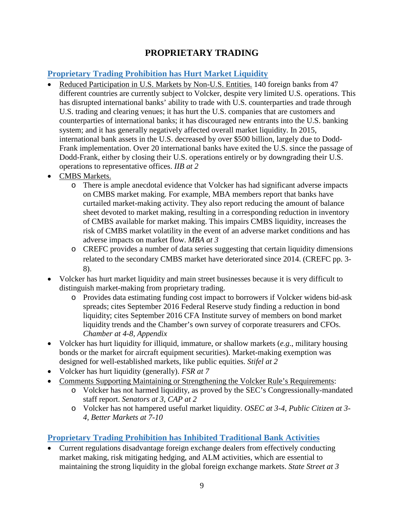# **PROPRIETARY TRADING**

## <span id="page-12-1"></span><span id="page-12-0"></span>**Proprietary Trading Prohibition has Hurt Market Liquidity**

- Reduced Participation in U.S. Markets by Non-U.S. Entities. 140 foreign banks from 47 different countries are currently subject to Volcker, despite very limited U.S. operations. This has disrupted international banks' ability to trade with U.S. counterparties and trade through U.S. trading and clearing venues; it has hurt the U.S. companies that are customers and counterparties of international banks; it has discouraged new entrants into the U.S. banking system; and it has generally negatively affected overall market liquidity. In 2015, international bank assets in the U.S. decreased by over \$500 billion, largely due to Dodd-Frank implementation. Over 20 international banks have exited the U.S. since the passage of Dodd-Frank, either by closing their U.S. operations entirely or by downgrading their U.S. operations to representative offices. *IIB at 2*
- CMBS Markets.
	- o There is ample anecdotal evidence that Volcker has had significant adverse impacts on CMBS market making. For example, MBA members report that banks have curtailed market-making activity. They also report reducing the amount of balance sheet devoted to market making, resulting in a corresponding reduction in inventory of CMBS available for market making. This impairs CMBS liquidity, increases the risk of CMBS market volatility in the event of an adverse market conditions and has adverse impacts on market flow. *MBA at 3*
	- o CREFC provides a number of data series suggesting that certain liquidity dimensions related to the secondary CMBS market have deteriorated since 2014. (CREFC pp. 3- 8).
- Volcker has hurt market liquidity and main street businesses because it is very difficult to distinguish market-making from proprietary trading.
	- o Provides data estimating funding cost impact to borrowers if Volcker widens bid-ask spreads; cites September 2016 Federal Reserve study finding a reduction in bond liquidity; cites September 2016 CFA Institute survey of members on bond market liquidity trends and the Chamber's own survey of corporate treasurers and CFOs. *Chamber at 4-8, Appendix*
- Volcker has hurt liquidity for illiquid, immature, or shallow markets (*e.g*., military housing bonds or the market for aircraft equipment securities). Market-making exemption was designed for well-established markets, like public equities. *Stifel at 2*
- Volcker has hurt liquidity (generally). *FSR at 7*
- Comments Supporting Maintaining or Strengthening the Volcker Rule's Requirements:
	- o Volcker has not harmed liquidity, as proved by the SEC's Congressionally-mandated staff report. *Senators at 3, CAP at 2*
	- o Volcker has not hampered useful market liquidity. *OSEC at 3-4, Public Citizen at 3- 4, Better Markets at 7-10*

# <span id="page-12-2"></span>**Proprietary Trading Prohibition has Inhibited Traditional Bank Activities**

• Current regulations disadvantage foreign exchange dealers from effectively conducting market making, risk mitigating hedging, and ALM activities, which are essential to maintaining the strong liquidity in the global foreign exchange markets. *State Street at 3*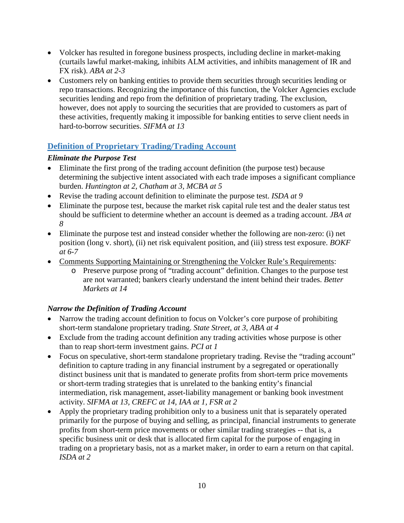- Volcker has resulted in foregone business prospects, including decline in market-making (curtails lawful market-making, inhibits ALM activities, and inhibits management of IR and FX risk). *ABA at 2-3*
- Customers rely on banking entities to provide them securities through securities lending or repo transactions. Recognizing the importance of this function, the Volcker Agencies exclude securities lending and repo from the definition of proprietary trading. The exclusion, however, does not apply to sourcing the securities that are provided to customers as part of these activities, frequently making it impossible for banking entities to serve client needs in hard-to-borrow securities. *SIFMA at 13*

# <span id="page-13-0"></span>**Definition of Proprietary Trading/Trading Account**

### <span id="page-13-1"></span>*Eliminate the Purpose Test*

- Eliminate the first prong of the trading account definition (the purpose test) because determining the subjective intent associated with each trade imposes a significant compliance burden. *Huntington at 2, Chatham at 3, MCBA at 5*
- Revise the trading account definition to eliminate the purpose test. *ISDA at 9*
- Eliminate the purpose test, because the market risk capital rule test and the dealer status test should be sufficient to determine whether an account is deemed as a trading account. *JBA at 8*
- Eliminate the purpose test and instead consider whether the following are non-zero: (i) net position (long v. short), (ii) net risk equivalent position, and (iii) stress test exposure. *BOKF at 6-7*
- Comments Supporting Maintaining or Strengthening the Volcker Rule's Requirements:
	- o Preserve purpose prong of "trading account" definition. Changes to the purpose test are not warranted; bankers clearly understand the intent behind their trades. *Better Markets at 14*

## <span id="page-13-2"></span>*Narrow the Definition of Trading Account*

- Narrow the trading account definition to focus on Volcker's core purpose of prohibiting short-term standalone proprietary trading. *State Street, at 3, ABA at 4*
- Exclude from the trading account definition any trading activities whose purpose is other than to reap short-term investment gains. *PCI at 1*
- Focus on speculative, short-term standalone proprietary trading. Revise the "trading account" definition to capture trading in any financial instrument by a segregated or operationally distinct business unit that is mandated to generate profits from short-term price movements or short-term trading strategies that is unrelated to the banking entity's financial intermediation, risk management, asset-liability management or banking book investment activity. *SIFMA at 13, CREFC at 14, IAA at 1, FSR at 2*
- Apply the proprietary trading prohibition only to a business unit that is separately operated primarily for the purpose of buying and selling, as principal, financial instruments to generate profits from short-term price movements or other similar trading strategies -- that is, a specific business unit or desk that is allocated firm capital for the purpose of engaging in trading on a proprietary basis, not as a market maker, in order to earn a return on that capital. *ISDA at 2*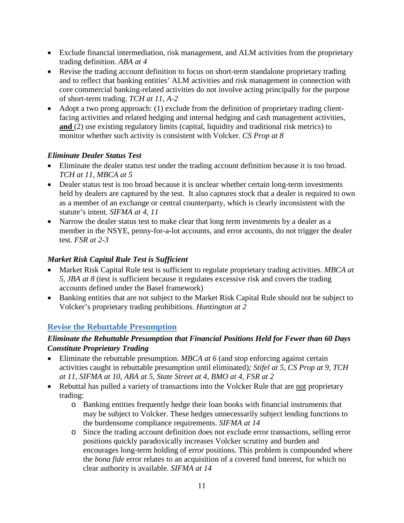- Exclude financial intermediation, risk management, and ALM activities from the proprietary trading definition. *ABA at 4*
- Revise the trading account definition to focus on short-term standalone proprietary trading and to reflect that banking entities' ALM activities and risk management in connection with core commercial banking-related activities do not involve acting principally for the purpose of short-term trading. *TCH at 11, A-2*
- Adopt a two prong approach: (1) exclude from the definition of proprietary trading clientfacing activities and related hedging and internal hedging and cash management activities, **and** (2) use existing regulatory limits (capital, liquidity and traditional risk metrics) to monitor whether such activity is consistent with Volcker. *CS Prop at 8*

## <span id="page-14-0"></span>*Eliminate Dealer Status Test*

- Eliminate the dealer status test under the trading account definition because it is too broad. *TCH at 11, MBCA at 5*
- Dealer status test is too broad because it is unclear whether certain long-term investments held by dealers are captured by the test. It also captures stock that a dealer is required to own as a member of an exchange or central counterparty, which is clearly inconsistent with the statute's intent. *SIFMA at 4, 11*
- Narrow the dealer status test to make clear that long term investments by a dealer as a member in the NSYE, penny-for-a-lot accounts, and error accounts, do not trigger the dealer test. *FSR at 2-3*

## <span id="page-14-1"></span>*Market Risk Capital Rule Test is Sufficient*

- Market Risk Capital Rule test is sufficient to regulate proprietary trading activities. *MBCA at 5, JBA at 8* (test is sufficient because it regulates excessive risk and covers the trading accounts defined under the Basel framework)
- Banking entities that are not subject to the Market Risk Capital Rule should not be subject to Volcker's proprietary trading prohibitions. *Huntington at 2*

# <span id="page-14-2"></span>**Revise the Rebuttable Presumption**

## <span id="page-14-3"></span>*Eliminate the Rebuttable Presumption that Financial Positions Held for Fewer than 60 Days Constitute Proprietary Trading*

- Eliminate the rebuttable presumption. *MBCA at 6* (and stop enforcing against certain activities caught in rebuttable presumption until eliminated)*; Stifel at 5, CS Prop at 9*, *TCH at 11, SIFMA at 10, ABA at 5, State Street at 4, BMO at 4, FSR at 2*
- Rebuttal has pulled a variety of transactions into the Volcker Rule that are not proprietary trading:
	- o Banking entities frequently hedge their loan books with financial instruments that may be subject to Volcker. These hedges unnecessarily subject lending functions to the burdensome compliance requirements. *SIFMA at 14*
	- o Since the trading account definition does not exclude error transactions, selling error positions quickly paradoxically increases Volcker scrutiny and burden and encourages long-term holding of error positions. This problem is compounded where the *bona fide* error relates to an acquisition of a covered fund interest, for which no clear authority is available. *SIFMA at 14*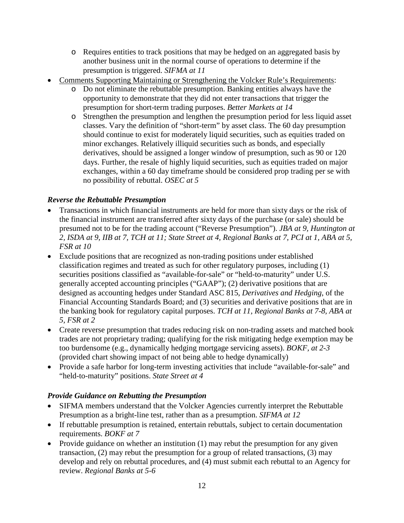- o Requires entities to track positions that may be hedged on an aggregated basis by another business unit in the normal course of operations to determine if the presumption is triggered. *SIFMA at 11*
- Comments Supporting Maintaining or Strengthening the Volcker Rule's Requirements:
	- o Do not eliminate the rebuttable presumption. Banking entities always have the opportunity to demonstrate that they did not enter transactions that trigger the presumption for short-term trading purposes. *Better Markets at 14*
	- o Strengthen the presumption and lengthen the presumption period for less liquid asset classes. Vary the definition of "short-term" by asset class. The 60 day presumption should continue to exist for moderately liquid securities, such as equities traded on minor exchanges. Relatively illiquid securities such as bonds, and especially derivatives, should be assigned a longer window of presumption, such as 90 or 120 days. Further, the resale of highly liquid securities, such as equities traded on major exchanges, within a 60 day timeframe should be considered prop trading per se with no possibility of rebuttal. *OSEC at 5*

### <span id="page-15-0"></span>*Reverse the Rebuttable Presumption*

- Transactions in which financial instruments are held for more than sixty days or the risk of the financial instrument are transferred after sixty days of the purchase (or sale) should be presumed not to be for the trading account ("Reverse Presumption"). *JBA at 9, Huntington at 2, ISDA at 9, IIB at 7, TCH at 11; State Street at 4, Regional Banks at 7, PCI at 1, ABA at 5, FSR at 10*
- Exclude positions that are recognized as non-trading positions under established classification regimes and treated as such for other regulatory purposes, including (1) securities positions classified as "available-for-sale" or "held-to-maturity" under U.S. generally accepted accounting principles ("GAAP"); (2) derivative positions that are designed as accounting hedges under Standard ASC 815, *Derivatives and Hedging*, of the Financial Accounting Standards Board; and (3) securities and derivative positions that are in the banking book for regulatory capital purposes. *TCH at 11, Regional Banks at 7-8, ABA at 5, FSR at 2*
- Create reverse presumption that trades reducing risk on non-trading assets and matched book trades are not proprietary trading; qualifying for the risk mitigating hedge exemption may be too burdensome (e.g., dynamically hedging mortgage servicing assets). *BOKF, at 2-3*  (provided chart showing impact of not being able to hedge dynamically)
- Provide a safe harbor for long-term investing activities that include "available-for-sale" and "held-to-maturity" positions. *State Street at 4*

### <span id="page-15-1"></span>*Provide Guidance on Rebutting the Presumption*

- SIFMA members understand that the Volcker Agencies currently interpret the Rebuttable Presumption as a bright-line test, rather than as a presumption. *SIFMA at 12*
- If rebuttable presumption is retained, entertain rebuttals, subject to certain documentation requirements. *BOKF at 7*
- Provide guidance on whether an institution (1) may rebut the presumption for any given transaction, (2) may rebut the presumption for a group of related transactions, (3) may develop and rely on rebuttal procedures, and (4) must submit each rebuttal to an Agency for review. *Regional Banks at 5-6*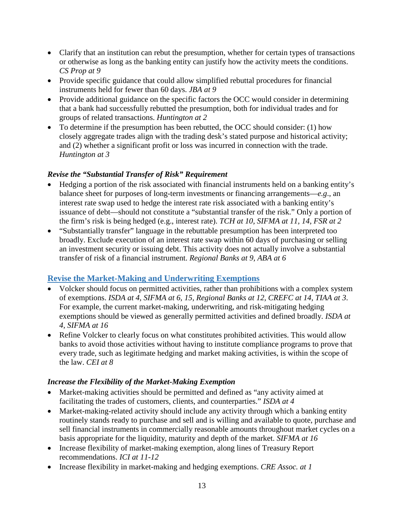- Clarify that an institution can rebut the presumption, whether for certain types of transactions or otherwise as long as the banking entity can justify how the activity meets the conditions. *CS Prop at 9*
- Provide specific guidance that could allow simplified rebuttal procedures for financial instruments held for fewer than 60 days. *JBA at 9*
- Provide additional guidance on the specific factors the OCC would consider in determining that a bank had successfully rebutted the presumption, both for individual trades and for groups of related transactions. *Huntington at 2*
- To determine if the presumption has been rebutted, the OCC should consider: (1) how closely aggregate trades align with the trading desk's stated purpose and historical activity; and (2) whether a significant profit or loss was incurred in connection with the trade. *Huntington at 3*

### <span id="page-16-0"></span>*Revise the "Substantial Transfer of Risk" Requirement*

- Hedging a portion of the risk associated with financial instruments held on a banking entity's balance sheet for purposes of long-term investments or financing arrangements—*e.g*., an interest rate swap used to hedge the interest rate risk associated with a banking entity's issuance of debt—should not constitute a "substantial transfer of the risk." Only a portion of the firm's risk is being hedged (e.g., interest rate). *TCH at 10, SIFMA at 11, 14, FSR at 2*
- "Substantially transfer" language in the rebuttable presumption has been interpreted too broadly. Exclude execution of an interest rate swap within 60 days of purchasing or selling an investment security or issuing debt. This activity does not actually involve a substantial transfer of risk of a financial instrument. *Regional Banks at 9, ABA at 6*

# <span id="page-16-1"></span>**Revise the Market-Making and Underwriting Exemptions**

- Volcker should focus on permitted activities, rather than prohibitions with a complex system of exemptions. *ISDA at 4, SIFMA at 6, 15, Regional Banks at 12, CREFC at 14, TIAA at 3*. For example, the current market-making, underwriting, and risk-mitigating hedging exemptions should be viewed as generally permitted activities and defined broadly. *ISDA at 4, SIFMA at 16*
- Refine Volcker to clearly focus on what constitutes prohibited activities. This would allow banks to avoid those activities without having to institute compliance programs to prove that every trade, such as legitimate hedging and market making activities, is within the scope of the law. *CEI at 8*

## <span id="page-16-2"></span>*Increase the Flexibility of the Market-Making Exemption*

- Market-making activities should be permitted and defined as "any activity aimed at facilitating the trades of customers, clients, and counterparties." *ISDA at 4*
- Market-making-related activity should include any activity through which a banking entity routinely stands ready to purchase and sell and is willing and available to quote, purchase and sell financial instruments in commercially reasonable amounts throughout market cycles on a basis appropriate for the liquidity, maturity and depth of the market. *SIFMA at 16*
- Increase flexibility of market-making exemption, along lines of Treasury Report recommendations. *ICI at 11-12*
- Increase flexibility in market-making and hedging exemptions. *CRE Assoc. at 1*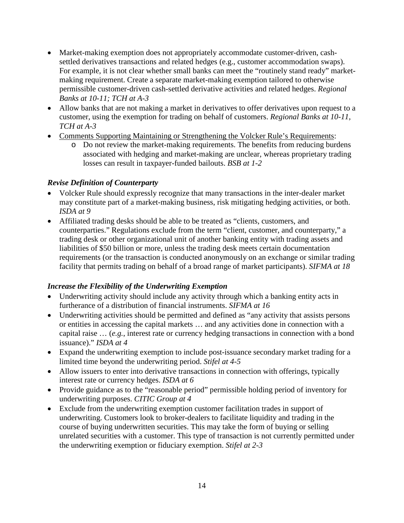- Market-making exemption does not appropriately accommodate customer-driven, cashsettled derivatives transactions and related hedges (e.g., customer accommodation swaps). For example, it is not clear whether small banks can meet the "routinely stand ready" marketmaking requirement. Create a separate market-making exemption tailored to otherwise permissible customer-driven cash-settled derivative activities and related hedges. *Regional Banks at 10-11; TCH at A-3*
- Allow banks that are not making a market in derivatives to offer derivatives upon request to a customer, using the exemption for trading on behalf of customers. *Regional Banks at 10-11, TCH at A-3*
- Comments Supporting Maintaining or Strengthening the Volcker Rule's Requirements:
	- o Do not review the market-making requirements. The benefits from reducing burdens associated with hedging and market-making are unclear, whereas proprietary trading losses can result in taxpayer-funded bailouts. *BSB at 1-2*

### <span id="page-17-0"></span>*Revise Definition of Counterparty*

- Volcker Rule should expressly recognize that many transactions in the inter-dealer market may constitute part of a market-making business, risk mitigating hedging activities, or both. *ISDA at 9*
- Affiliated trading desks should be able to be treated as "clients, customers, and counterparties." Regulations exclude from the term "client, customer, and counterparty," a trading desk or other organizational unit of another banking entity with trading assets and liabilities of \$50 billion or more, unless the trading desk meets certain documentation requirements (or the transaction is conducted anonymously on an exchange or similar trading facility that permits trading on behalf of a broad range of market participants). *SIFMA at 18*

## <span id="page-17-1"></span>*Increase the Flexibility of the Underwriting Exemption*

- Underwriting activity should include any activity through which a banking entity acts in furtherance of a distribution of financial instruments. *SIFMA at 16*
- Underwriting activities should be permitted and defined as "any activity that assists persons" or entities in accessing the capital markets … and any activities done in connection with a capital raise … (*e.g.*, interest rate or currency hedging transactions in connection with a bond issuance)." *ISDA at 4*
- Expand the underwriting exemption to include post-issuance secondary market trading for a limited time beyond the underwriting period. *Stifel at 4-5*
- Allow issuers to enter into derivative transactions in connection with offerings, typically interest rate or currency hedges. *ISDA at 6*
- Provide guidance as to the "reasonable period" permissible holding period of inventory for underwriting purposes. *CITIC Group at 4*
- Exclude from the underwriting exemption customer facilitation trades in support of underwriting. Customers look to broker-dealers to facilitate liquidity and trading in the course of buying underwritten securities. This may take the form of buying or selling unrelated securities with a customer. This type of transaction is not currently permitted under the underwriting exemption or fiduciary exemption. *Stifel at 2-3*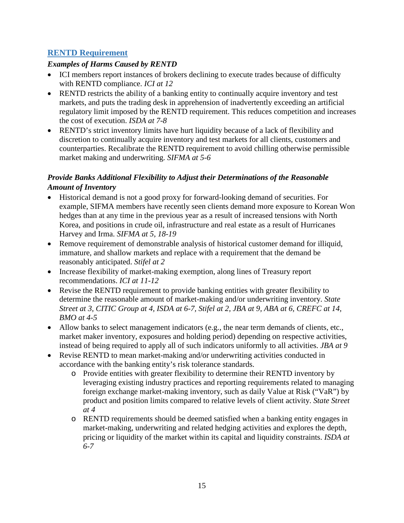## <span id="page-18-0"></span>**RENTD Requirement**

### <span id="page-18-1"></span>*Examples of Harms Caused by RENTD*

- ICI members report instances of brokers declining to execute trades because of difficulty with RENTD compliance. *ICI at 12*
- RENTD restricts the ability of a banking entity to continually acquire inventory and test markets, and puts the trading desk in apprehension of inadvertently exceeding an artificial regulatory limit imposed by the RENTD requirement. This reduces competition and increases the cost of execution. *ISDA at 7-8*
- RENTD's strict inventory limits have hurt liquidity because of a lack of flexibility and discretion to continually acquire inventory and test markets for all clients, customers and counterparties. Recalibrate the RENTD requirement to avoid chilling otherwise permissible market making and underwriting. *SIFMA at 5-6*

## <span id="page-18-2"></span>*Provide Banks Additional Flexibility to Adjust their Determinations of the Reasonable Amount of Inventory*

- Historical demand is not a good proxy for forward-looking demand of securities. For example, SIFMA members have recently seen clients demand more exposure to Korean Won hedges than at any time in the previous year as a result of increased tensions with North Korea, and positions in crude oil, infrastructure and real estate as a result of Hurricanes Harvey and Irma. *SIFMA at 5, 18-19*
- Remove requirement of demonstrable analysis of historical customer demand for illiquid, immature, and shallow markets and replace with a requirement that the demand be reasonably anticipated. *Stifel at 2*
- Increase flexibility of market-making exemption, along lines of Treasury report recommendations. *ICI at 11-12*
- Revise the RENTD requirement to provide banking entities with greater flexibility to determine the reasonable amount of market-making and/or underwriting inventory. *State Street at 3, CITIC Group at 4, ISDA at 6-7, Stifel at 2, JBA at 9, ABA at 6, CREFC at 14, BMO at 4-5*
- Allow banks to select management indicators (e.g., the near term demands of clients, etc., market maker inventory, exposures and holding period) depending on respective activities, instead of being required to apply all of such indicators uniformly to all activities. *JBA at 9*
- Revise RENTD to mean market-making and/or underwriting activities conducted in accordance with the banking entity's risk tolerance standards.
	- o Provide entities with greater flexibility to determine their RENTD inventory by leveraging existing industry practices and reporting requirements related to managing foreign exchange market-making inventory, such as daily Value at Risk ("VaR") by product and position limits compared to relative levels of client activity. *State Street at 4*
	- o RENTD requirements should be deemed satisfied when a banking entity engages in market-making, underwriting and related hedging activities and explores the depth, pricing or liquidity of the market within its capital and liquidity constraints. *ISDA at 6-7*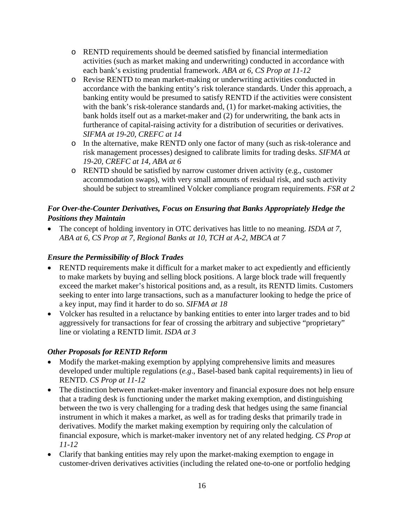- o RENTD requirements should be deemed satisfied by financial intermediation activities (such as market making and underwriting) conducted in accordance with each bank's existing prudential framework. *ABA at 6, CS Prop at 11-12*
- o Revise RENTD to mean market-making or underwriting activities conducted in accordance with the banking entity's risk tolerance standards. Under this approach, a banking entity would be presumed to satisfy RENTD if the activities were consistent with the bank's risk-tolerance standards and, (1) for market-making activities, the bank holds itself out as a market-maker and (2) for underwriting, the bank acts in furtherance of capital-raising activity for a distribution of securities or derivatives. *SIFMA at 19-20*, *CREFC at 14*
- o In the alternative, make RENTD only one factor of many (such as risk-tolerance and risk management processes) designed to calibrate limits for trading desks. *SIFMA at 19-20, CREFC at 14, ABA at 6*
- o RENTD should be satisfied by narrow customer driven activity (e.g., customer accommodation swaps), with very small amounts of residual risk, and such activity should be subject to streamlined Volcker compliance program requirements. *FSR at 2*

## <span id="page-19-0"></span>*For Over-the-Counter Derivatives, Focus on Ensuring that Banks Appropriately Hedge the Positions they Maintain*

• The concept of holding inventory in OTC derivatives has little to no meaning. *ISDA at 7, ABA at 6, CS Prop at 7, Regional Banks at 10, TCH at A-2, MBCA at 7*

## <span id="page-19-1"></span>*Ensure the Permissibility of Block Trades*

- RENTD requirements make it difficult for a market maker to act expediently and efficiently to make markets by buying and selling block positions. A large block trade will frequently exceed the market maker's historical positions and, as a result, its RENTD limits. Customers seeking to enter into large transactions, such as a manufacturer looking to hedge the price of a key input, may find it harder to do so. *SIFMA at 18*
- Volcker has resulted in a reluctance by banking entities to enter into larger trades and to bid aggressively for transactions for fear of crossing the arbitrary and subjective "proprietary" line or violating a RENTD limit. *ISDA at 3*

## <span id="page-19-2"></span>*Other Proposals for RENTD Reform*

- Modify the market-making exemption by applying comprehensive limits and measures developed under multiple regulations (*e.g*., Basel-based bank capital requirements) in lieu of RENTD. *CS Prop at 11-12*
- The distinction between market-maker inventory and financial exposure does not help ensure that a trading desk is functioning under the market making exemption, and distinguishing between the two is very challenging for a trading desk that hedges using the same financial instrument in which it makes a market, as well as for trading desks that primarily trade in derivatives. Modify the market making exemption by requiring only the calculation of financial exposure, which is market-maker inventory net of any related hedging. *CS Prop at 11-12*
- Clarify that banking entities may rely upon the market-making exemption to engage in customer-driven derivatives activities (including the related one-to-one or portfolio hedging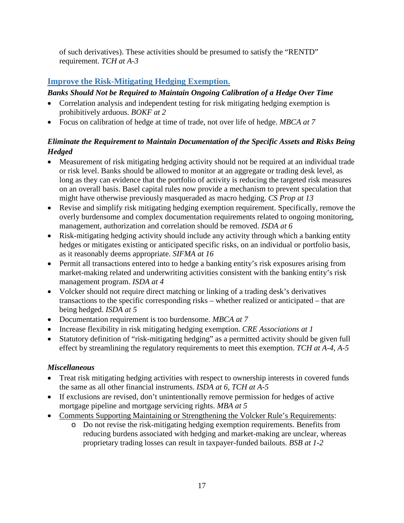of such derivatives). These activities should be presumed to satisfy the "RENTD" requirement. *TCH at A-3*

# <span id="page-20-0"></span>**Improve the Risk-Mitigating Hedging Exemption.**

# <span id="page-20-1"></span>*Banks Should Not be Required to Maintain Ongoing Calibration of a Hedge Over Time*

- Correlation analysis and independent testing for risk mitigating hedging exemption is prohibitively arduous. *BOKF at 2*
- Focus on calibration of hedge at time of trade, not over life of hedge. *MBCA at 7*

# <span id="page-20-2"></span>*Eliminate the Requirement to Maintain Documentation of the Specific Assets and Risks Being Hedged*

- Measurement of risk mitigating hedging activity should not be required at an individual trade or risk level. Banks should be allowed to monitor at an aggregate or trading desk level, as long as they can evidence that the portfolio of activity is reducing the targeted risk measures on an overall basis. Basel capital rules now provide a mechanism to prevent speculation that might have otherwise previously masqueraded as macro hedging. *CS Prop at 13*
- Revise and simplify risk mitigating hedging exemption requirement. Specifically, remove the overly burdensome and complex documentation requirements related to ongoing monitoring, management, authorization and correlation should be removed. *ISDA at 6*
- Risk-mitigating hedging activity should include any activity through which a banking entity hedges or mitigates existing or anticipated specific risks, on an individual or portfolio basis, as it reasonably deems appropriate. *SIFMA at 16*
- Permit all transactions entered into to hedge a banking entity's risk exposures arising from market-making related and underwriting activities consistent with the banking entity's risk management program. *ISDA at 4*
- Volcker should not require direct matching or linking of a trading desk's derivatives transactions to the specific corresponding risks – whether realized or anticipated – that are being hedged. *ISDA at 5*
- Documentation requirement is too burdensome. *MBCA at 7*
- Increase flexibility in risk mitigating hedging exemption. *CRE Associations at 1*
- Statutory definition of "risk-mitigating hedging" as a permitted activity should be given full effect by streamlining the regulatory requirements to meet this exemption. *TCH at A-4, A-5*

# <span id="page-20-3"></span>*Miscellaneous*

- Treat risk mitigating hedging activities with respect to ownership interests in covered funds the same as all other financial instruments. *ISDA at 6, TCH at A-5*
- If exclusions are revised, don't unintentionally remove permission for hedges of active mortgage pipeline and mortgage servicing rights. *MBA at 5*
- Comments Supporting Maintaining or Strengthening the Volcker Rule's Requirements:
	- o Do not revise the risk-mitigating hedging exemption requirements. Benefits from reducing burdens associated with hedging and market-making are unclear, whereas proprietary trading losses can result in taxpayer-funded bailouts. *BSB at 1-2*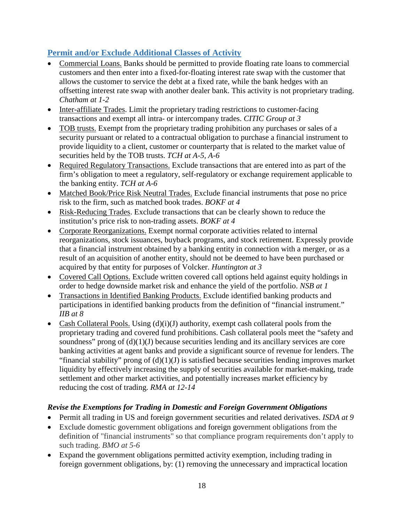# <span id="page-21-0"></span>**Permit and/or Exclude Additional Classes of Activity**

- Commercial Loans. Banks should be permitted to provide floating rate loans to commercial customers and then enter into a fixed-for-floating interest rate swap with the customer that allows the customer to service the debt at a fixed rate, while the bank hedges with an offsetting interest rate swap with another dealer bank. This activity is not proprietary trading. *Chatham at 1-2*
- Inter-affiliate Trades. Limit the proprietary trading restrictions to customer-facing transactions and exempt all intra- or intercompany trades. *CITIC Group at 3*
- TOB trusts. Exempt from the proprietary trading prohibition any purchases or sales of a security pursuant or related to a contractual obligation to purchase a financial instrument to provide liquidity to a client, customer or counterparty that is related to the market value of securities held by the TOB trusts. *TCH at A-5, A-6*
- Required Regulatory Transactions. Exclude transactions that are entered into as part of the firm's obligation to meet a regulatory, self-regulatory or exchange requirement applicable to the banking entity. *TCH at A-6*
- Matched Book/Price Risk Neutral Trades. Exclude financial instruments that pose no price risk to the firm, such as matched book trades. *BOKF at 4*
- Risk-Reducing Trades. Exclude transactions that can be clearly shown to reduce the institution's price risk to non-trading assets. *BOKF at 4*
- Corporate Reorganizations. Exempt normal corporate activities related to internal reorganizations, stock issuances, buyback programs, and stock retirement. Expressly provide that a financial instrument obtained by a banking entity in connection with a merger, or as a result of an acquisition of another entity, should not be deemed to have been purchased or acquired by that entity for purposes of Volcker. *Huntington at 3*
- Covered Call Options. Exclude written covered call options held against equity holdings in order to hedge downside market risk and enhance the yield of the portfolio. *NSB at 1*
- Transactions in Identified Banking Products. Exclude identified banking products and participations in identified banking products from the definition of "financial instrument." *IIB at 8*
- Cash Collateral Pools. Using  $(d)(i)(J)$  authority, exempt cash collateral pools from the proprietary trading and covered fund prohibitions. Cash collateral pools meet the "safety and soundness" prong of  $(d)(1)(J)$  because securities lending and its ancillary services are core banking activities at agent banks and provide a significant source of revenue for lenders. The "financial stability" prong of  $(d)(1)(J)$  is satisfied because securities lending improves market liquidity by effectively increasing the supply of securities available for market-making, trade settlement and other market activities, and potentially increases market efficiency by reducing the cost of trading. *RMA at 12-14*

## <span id="page-21-1"></span>*Revise the Exemptions for Trading in Domestic and Foreign Government Obligations*

- Permit all trading in US and foreign government securities and related derivatives. *ISDA at 9*
- Exclude domestic government obligations and foreign government obligations from the definition of "financial instruments" so that compliance program requirements don't apply to such trading. *BMO at 5-6*
- Expand the government obligations permitted activity exemption, including trading in foreign government obligations, by: (1) removing the unnecessary and impractical location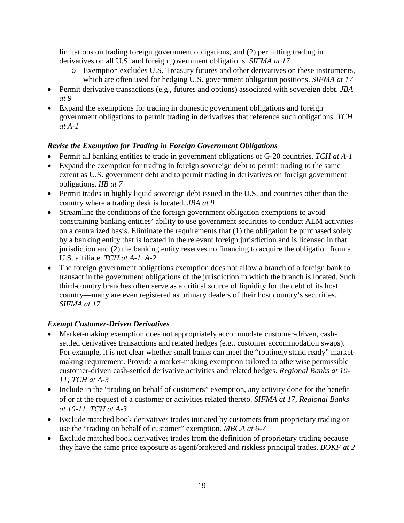limitations on trading foreign government obligations, and (2) permitting trading in derivatives on all U.S. and foreign government obligations. *SIFMA at 17*

- o Exemption excludes U.S. Treasury futures and other derivatives on these instruments, which are often used for hedging U.S. government obligation positions. *SIFMA at 17*
- Permit derivative transactions (e.g., futures and options) associated with sovereign debt. *JBA at 9*
- Expand the exemptions for trading in domestic government obligations and foreign government obligations to permit trading in derivatives that reference such obligations. *TCH at A-1*

## <span id="page-22-0"></span>*Revise the Exemption for Trading in Foreign Government Obligations*

- Permit all banking entities to trade in government obligations of G-20 countries. *TCH at A-1*
- Expand the exemption for trading in foreign sovereign debt to permit trading to the same extent as U.S. government debt and to permit trading in derivatives on foreign government obligations. *IIB at 7*
- Permit trades in highly liquid sovereign debt issued in the U.S. and countries other than the country where a trading desk is located. *JBA at 9*
- Streamline the conditions of the foreign government obligation exemptions to avoid constraining banking entities' ability to use government securities to conduct ALM activities on a centralized basis. Eliminate the requirements that (1) the obligation be purchased solely by a banking entity that is located in the relevant foreign jurisdiction and is licensed in that jurisdiction and (2) the banking entity reserves no financing to acquire the obligation from a U.S. affiliate. *TCH at A-1, A-2*
- The foreign government obligations exemption does not allow a branch of a foreign bank to transact in the government obligations of the jurisdiction in which the branch is located. Such third-country branches often serve as a critical source of liquidity for the debt of its host country—many are even registered as primary dealers of their host country's securities. *SIFMA at 17*

## <span id="page-22-1"></span>*Exempt Customer-Driven Derivatives*

- Market-making exemption does not appropriately accommodate customer-driven, cashsettled derivatives transactions and related hedges (e.g., customer accommodation swaps). For example, it is not clear whether small banks can meet the "routinely stand ready" marketmaking requirement. Provide a market-making exemption tailored to otherwise permissible customer-driven cash-settled derivative activities and related hedges. *Regional Banks at 10- 11; TCH at A-3*
- Include in the "trading on behalf of customers" exemption, any activity done for the benefit of or at the request of a customer or activities related thereto. *SIFMA at 17, Regional Banks at 10-11, TCH at A-3*
- Exclude matched book derivatives trades initiated by customers from proprietary trading or use the "trading on behalf of customer" exemption. *MBCA at 6-7*
- Exclude matched book derivatives trades from the definition of proprietary trading because they have the same price exposure as agent/brokered and riskless principal trades. *BOKF at 2*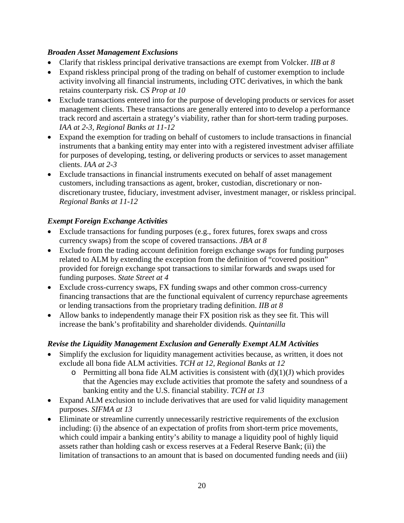### <span id="page-23-0"></span>*Broaden Asset Management Exclusions*

- Clarify that riskless principal derivative transactions are exempt from Volcker. *IIB at 8*
- Expand riskless principal prong of the trading on behalf of customer exemption to include activity involving all financial instruments, including OTC derivatives, in which the bank retains counterparty risk. *CS Prop at 10*
- Exclude transactions entered into for the purpose of developing products or services for asset management clients. These transactions are generally entered into to develop a performance track record and ascertain a strategy's viability, rather than for short-term trading purposes. *IAA at 2-3, Regional Banks at 11-12*
- Expand the exemption for trading on behalf of customers to include transactions in financial instruments that a banking entity may enter into with a registered investment adviser affiliate for purposes of developing, testing, or delivering products or services to asset management clients. *IAA at 2-3*
- Exclude transactions in financial instruments executed on behalf of asset management customers, including transactions as agent, broker, custodian, discretionary or nondiscretionary trustee, fiduciary, investment adviser, investment manager, or riskless principal. *Regional Banks at 11-12*

## <span id="page-23-1"></span>*Exempt Foreign Exchange Activities*

- Exclude transactions for funding purposes (e.g., forex futures, forex swaps and cross currency swaps) from the scope of covered transactions. *JBA at 8*
- Exclude from the trading account definition foreign exchange swaps for funding purposes related to ALM by extending the exception from the definition of "covered position" provided for foreign exchange spot transactions to similar forwards and swaps used for funding purposes. *State Street at 4*
- Exclude cross-currency swaps, FX funding swaps and other common cross-currency financing transactions that are the functional equivalent of currency repurchase agreements or lending transactions from the proprietary trading definition. *IIB at 8*
- Allow banks to independently manage their FX position risk as they see fit. This will increase the bank's profitability and shareholder dividends. *Quintanilla*

## <span id="page-23-2"></span>*Revise the Liquidity Management Exclusion and Generally Exempt ALM Activities*

- Simplify the exclusion for liquidity management activities because, as written, it does not exclude all bona fide ALM activities. *TCH at 12, Regional Banks at 12*
	- $\circ$  Permitting all bona fide ALM activities is consistent with (d)(1)(J) which provides that the Agencies may exclude activities that promote the safety and soundness of a banking entity and the U.S. financial stability. *TCH at 13*
- Expand ALM exclusion to include derivatives that are used for valid liquidity management purposes. *SIFMA at 13*
- Eliminate or streamline currently unnecessarily restrictive requirements of the exclusion including: (i) the absence of an expectation of profits from short-term price movements, which could impair a banking entity's ability to manage a liquidity pool of highly liquid assets rather than holding cash or excess reserves at a Federal Reserve Bank; (ii) the limitation of transactions to an amount that is based on documented funding needs and (iii)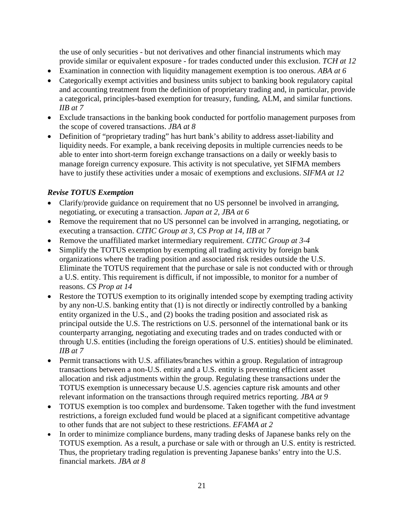the use of only securities - but not derivatives and other financial instruments which may provide similar or equivalent exposure - for trades conducted under this exclusion. *TCH at 12*

- Examination in connection with liquidity management exemption is too onerous. *ABA at 6*
- Categorically exempt activities and business units subject to banking book regulatory capital and accounting treatment from the definition of proprietary trading and, in particular, provide a categorical, principles-based exemption for treasury, funding, ALM, and similar functions. *IIB at 7*
- Exclude transactions in the banking book conducted for portfolio management purposes from the scope of covered transactions. *JBA at 8*
- Definition of "proprietary trading" has hurt bank's ability to address asset-liability and liquidity needs. For example, a bank receiving deposits in multiple currencies needs to be able to enter into short-term foreign exchange transactions on a daily or weekly basis to manage foreign currency exposure. This activity is not speculative, yet SIFMA members have to justify these activities under a mosaic of exemptions and exclusions. *SIFMA at 12*

## <span id="page-24-0"></span>*Revise TOTUS Exemption*

- Clarify/provide guidance on requirement that no US personnel be involved in arranging, negotiating, or executing a transaction. *Japan at 2, JBA at 6*
- Remove the requirement that no US personnel can be involved in arranging, negotiating, or executing a transaction. *CITIC Group at 3, CS Prop at 14, IIB at 7*
- Remove the unaffiliated market intermediary requirement. *CITIC Group at 3-4*
- Simplify the TOTUS exemption by exempting all trading activity by foreign bank organizations where the trading position and associated risk resides outside the U.S. Eliminate the TOTUS requirement that the purchase or sale is not conducted with or through a U.S. entity. This requirement is difficult, if not impossible, to monitor for a number of reasons. *CS Prop at 14*
- Restore the TOTUS exemption to its originally intended scope by exempting trading activity by any non-U.S. banking entity that (1) is not directly or indirectly controlled by a banking entity organized in the U.S., and (2) books the trading position and associated risk as principal outside the U.S. The restrictions on U.S. personnel of the international bank or its counterparty arranging, negotiating and executing trades and on trades conducted with or through U.S. entities (including the foreign operations of U.S. entities) should be eliminated. *IIB at 7*
- Permit transactions with U.S. affiliates/branches within a group. Regulation of intragroup transactions between a non-U.S. entity and a U.S. entity is preventing efficient asset allocation and risk adjustments within the group. Regulating these transactions under the TOTUS exemption is unnecessary because U.S. agencies capture risk amounts and other relevant information on the transactions through required metrics reporting. *JBA at 9*
- TOTUS exemption is too complex and burdensome. Taken together with the fund investment restrictions, a foreign excluded fund would be placed at a significant competitive advantage to other funds that are not subject to these restrictions. *EFAMA at 2*
- In order to minimize compliance burdens, many trading desks of Japanese banks rely on the TOTUS exemption. As a result, a purchase or sale with or through an U.S. entity is restricted. Thus, the proprietary trading regulation is preventing Japanese banks' entry into the U.S. financial markets. *JBA at 8*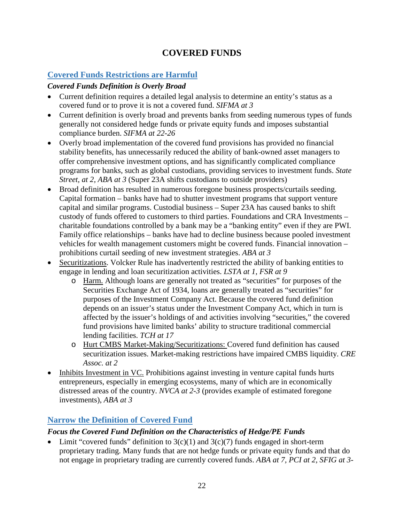# **COVERED FUNDS**

## <span id="page-25-1"></span><span id="page-25-0"></span>**Covered Funds Restrictions are Harmful**

## <span id="page-25-2"></span>*Covered Funds Definition is Overly Broad*

- Current definition requires a detailed legal analysis to determine an entity's status as a covered fund or to prove it is not a covered fund. *SIFMA at 3*
- Current definition is overly broad and prevents banks from seeding numerous types of funds generally not considered hedge funds or private equity funds and imposes substantial compliance burden. *SIFMA at 22-26*
- Overly broad implementation of the covered fund provisions has provided no financial stability benefits, has unnecessarily reduced the ability of bank-owned asset managers to offer comprehensive investment options, and has significantly complicated compliance programs for banks, such as global custodians, providing services to investment funds. *State Street, at 2, ABA at 3* (Super 23A shifts custodians to outside providers)
- Broad definition has resulted in numerous foregone business prospects/curtails seeding. Capital formation – banks have had to shutter investment programs that support venture capital and similar programs. Custodial business – Super 23A has caused banks to shift custody of funds offered to customers to third parties. Foundations and CRA Investments – charitable foundations controlled by a bank may be a "banking entity" even if they are PWI. Family office relationships – banks have had to decline business because pooled investment vehicles for wealth management customers might be covered funds. Financial innovation – prohibitions curtail seeding of new investment strategies. *ABA at 3*
- Securitizations. Volcker Rule has inadvertently restricted the ability of banking entities to engage in lending and loan securitization activities. *LSTA at 1, FSR at 9*
	- o Harm. Although loans are generally not treated as "securities" for purposes of the Securities Exchange Act of 1934, loans are generally treated as "securities" for purposes of the Investment Company Act. Because the covered fund definition depends on an issuer's status under the Investment Company Act, which in turn is affected by the issuer's holdings of and activities involving "securities," the covered fund provisions have limited banks' ability to structure traditional commercial lending facilities. *TCH at 17*
	- o Hurt CMBS Market-Making/Securitizations: Covered fund definition has caused securitization issues. Market-making restrictions have impaired CMBS liquidity. *CRE Assoc. at 2*
- Inhibits Investment in VC. Prohibitions against investing in venture capital funds hurts entrepreneurs, especially in emerging ecosystems, many of which are in economically distressed areas of the country. *NVCA at 2-3* (provides example of estimated foregone investments), *ABA at 3*

## <span id="page-25-3"></span>**Narrow the Definition of Covered Fund**

### <span id="page-25-4"></span>*Focus the Covered Fund Definition on the Characteristics of Hedge/PE Funds*

• Limit "covered funds" definition to  $3(c)(1)$  and  $3(c)(7)$  funds engaged in short-term proprietary trading. Many funds that are not hedge funds or private equity funds and that do not engage in proprietary trading are currently covered funds. *ABA at 7, PCI at 2, SFIG at 3-*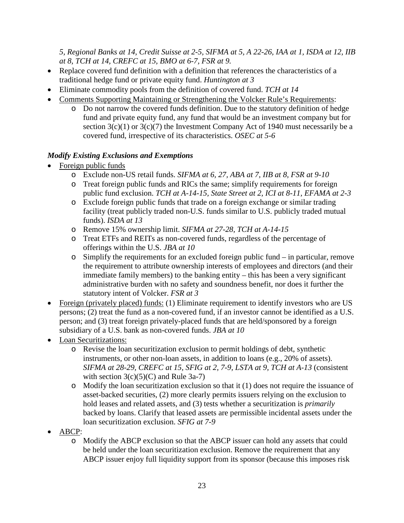*5, Regional Banks at 14, Credit Suisse at 2-5, SIFMA at 5, A 22-26, IAA at 1, ISDA at 12, IIB at 8, TCH at 14, CREFC at 15, BMO at 6-7, FSR at 9.*

- Replace covered fund definition with a definition that references the characteristics of a traditional hedge fund or private equity fund. *Huntington at 3*
- Eliminate commodity pools from the definition of covered fund. *TCH at 14*
- Comments Supporting Maintaining or Strengthening the Volcker Rule's Requirements:
	- o Do not narrow the covered funds definition. Due to the statutory definition of hedge fund and private equity fund, any fund that would be an investment company but for section 3(c)(1) or 3(c)(7) the Investment Company Act of 1940 must necessarily be a covered fund, irrespective of its characteristics. *OSEC at 5-6*

## <span id="page-26-0"></span>*Modify Existing Exclusions and Exemptions*

- Foreign public funds
	- o Exclude non-US retail funds. *SIFMA at 6, 27, ABA at 7, IIB at 8, FSR at 9-10*
	- o Treat foreign public funds and RICs the same; simplify requirements for foreign public fund exclusion. *TCH at A-14-15, State Street at 2, ICI at 8-11, EFAMA at 2-3*
	- o Exclude foreign public funds that trade on a foreign exchange or similar trading facility (treat publicly traded non-U.S. funds similar to U.S. publicly traded mutual funds). *ISDA at 13*
	- o Remove 15% ownership limit. *SIFMA at 27-28, TCH at A-14-15*
	- o Treat ETFs and REITs as non-covered funds, regardless of the percentage of offerings within the U.S. *JBA at 10*
	- o Simplify the requirements for an excluded foreign public fund in particular, remove the requirement to attribute ownership interests of employees and directors (and their immediate family members) to the banking entity – this has been a very significant administrative burden with no safety and soundness benefit, nor does it further the statutory intent of Volcker. *FSR at 3*
- Foreign (privately placed) funds: (1) Eliminate requirement to identify investors who are US persons; (2) treat the fund as a non-covered fund, if an investor cannot be identified as a U.S. person; and (3) treat foreign privately-placed funds that are held/sponsored by a foreign subsidiary of a U.S. bank as non-covered funds. *JBA at 10*
- Loan Securitizations:
	- o Revise the loan securitization exclusion to permit holdings of debt, synthetic instruments, or other non-loan assets, in addition to loans (e.g., 20% of assets). *SIFMA at 28-29, CREFC at 15, SFIG at 2, 7-9, LSTA at 9, TCH at A-13* (consistent with section  $3(c)(5)(C)$  and Rule 3a-7)
	- o Modify the loan securitization exclusion so that it (1) does not require the issuance of asset-backed securities, (2) more clearly permits issuers relying on the exclusion to hold leases and related assets, and (3) tests whether a securitization is *primarily* backed by loans. Clarify that leased assets are permissible incidental assets under the loan securitization exclusion. *SFIG at 7-9*
- ABCP:
	- o Modify the ABCP exclusion so that the ABCP issuer can hold any assets that could be held under the loan securitization exclusion. Remove the requirement that any ABCP issuer enjoy full liquidity support from its sponsor (because this imposes risk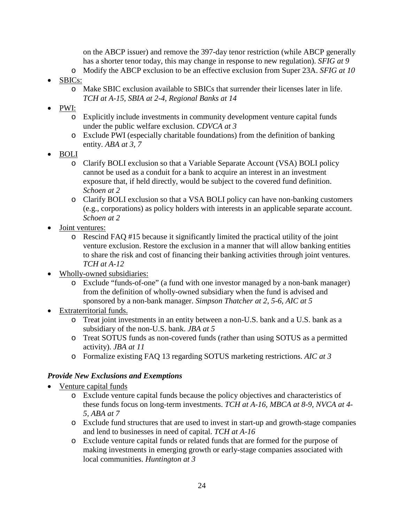on the ABCP issuer) and remove the 397-day tenor restriction (while ABCP generally has a shorter tenor today, this may change in response to new regulation). *SFIG at 9*

- o Modify the ABCP exclusion to be an effective exclusion from Super 23A. *SFIG at 10*
- SBICs:
	- o Make SBIC exclusion available to SBICs that surrender their licenses later in life. *TCH at A-15, SBIA at 2-4, Regional Banks at 14*
- PWI:
	- o Explicitly include investments in community development venture capital funds under the public welfare exclusion. *CDVCA at 3*
	- o Exclude PWI (especially charitable foundations) from the definition of banking entity. *ABA at 3, 7*
- BOLI
	- o Clarify BOLI exclusion so that a Variable Separate Account (VSA) BOLI policy cannot be used as a conduit for a bank to acquire an interest in an investment exposure that, if held directly, would be subject to the covered fund definition. *Schoen at 2*
	- o Clarify BOLI exclusion so that a VSA BOLI policy can have non-banking customers (e.g., corporations) as policy holders with interests in an applicable separate account. *Schoen at 2*
- Joint ventures:
	- o Rescind FAQ #15 because it significantly limited the practical utility of the joint venture exclusion. Restore the exclusion in a manner that will allow banking entities to share the risk and cost of financing their banking activities through joint ventures. *TCH at A-12*
- Wholly-owned subsidiaries:
	- o Exclude "funds-of-one" (a fund with one investor managed by a non-bank manager) from the definition of wholly-owned subsidiary when the fund is advised and sponsored by a non-bank manager. *Simpson Thatcher at 2, 5-6, AIC at 5*
- Extraterritorial funds.
	- o Treat joint investments in an entity between a non-U.S. bank and a U.S. bank as a subsidiary of the non-U.S. bank. *JBA at 5*
	- o Treat SOTUS funds as non-covered funds (rather than using SOTUS as a permitted activity). *JBA at 11*
	- o Formalize existing FAQ 13 regarding SOTUS marketing restrictions. *AIC at 3*

### <span id="page-27-0"></span>*Provide New Exclusions and Exemptions*

- Venture capital funds
	- o Exclude venture capital funds because the policy objectives and characteristics of these funds focus on long-term investments. *TCH at A-16, MBCA at 8-9, NVCA at 4- 5, ABA at 7*
	- o Exclude fund structures that are used to invest in start-up and growth-stage companies and lend to businesses in need of capital. *TCH at A-16*
	- o Exclude venture capital funds or related funds that are formed for the purpose of making investments in emerging growth or early-stage companies associated with local communities. *Huntington at 3*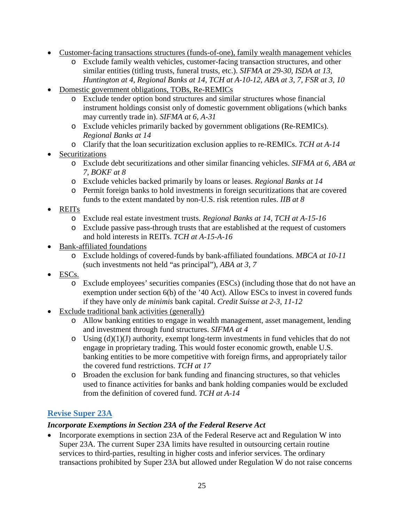- Customer-facing transactions structures (funds-of-one), family wealth management vehicles
	- o Exclude family wealth vehicles, customer-facing transaction structures, and other similar entities (titling trusts, funeral trusts, etc.). *SIFMA at 29-30, ISDA at 13, Huntington at 4, Regional Banks at 14, TCH at A-10-12, ABA at 3, 7, FSR at 3, 10*
- Domestic government obligations, TOBs, Re-REMICs
	- o Exclude tender option bond structures and similar structures whose financial instrument holdings consist only of domestic government obligations (which banks may currently trade in). *SIFMA at 6, A-31*
	- o Exclude vehicles primarily backed by government obligations (Re-REMICs). *Regional Banks at 14*
	- o Clarify that the loan securitization exclusion applies to re-REMICs. *TCH at A-14*
- **Securitizations** 
	- o Exclude debt securitizations and other similar financing vehicles. *SIFMA at 6, ABA at 7, BOKF at 8*
	- o Exclude vehicles backed primarily by loans or leases. *Regional Banks at 14*
	- o Permit foreign banks to hold investments in foreign securitizations that are covered funds to the extent mandated by non-U.S. risk retention rules. *IIB at 8*
- REITs
	- o Exclude real estate investment trusts. *Regional Banks at 14, TCH at A-15-16*
	- o Exclude passive pass-through trusts that are established at the request of customers and hold interests in REITs. *TCH at A-15-A-16*
- Bank-affiliated foundations
	- o Exclude holdings of covered-funds by bank-affiliated foundations. *MBCA at 10-11*  (such investments not held "as principal"), *ABA at 3, 7*
- ESCs.
	- o Exclude employees' securities companies (ESCs) (including those that do not have an exemption under section 6(b) of the '40 Act). Allow ESCs to invest in covered funds if they have only *de minimis* bank capital. *Credit Suisse at 2-3, 11-12*
- Exclude traditional bank activities (generally)
	- o Allow banking entities to engage in wealth management, asset management, lending and investment through fund structures. *SIFMA at 4*
	- $\circ$  Using (d)(1)(J) authority, exempt long-term investments in fund vehicles that do not engage in proprietary trading. This would foster economic growth, enable U.S. banking entities to be more competitive with foreign firms, and appropriately tailor the covered fund restrictions. *TCH at 17*
	- o Broaden the exclusion for bank funding and financing structures, so that vehicles used to finance activities for banks and bank holding companies would be excluded from the definition of covered fund. *TCH at A-14*

# <span id="page-28-0"></span>**Revise Super 23A**

### <span id="page-28-1"></span>*Incorporate Exemptions in Section 23A of the Federal Reserve Act*

• Incorporate exemptions in section 23A of the Federal Reserve act and Regulation W into Super 23A. The current Super 23A limits have resulted in outsourcing certain routine services to third-parties, resulting in higher costs and inferior services. The ordinary transactions prohibited by Super 23A but allowed under Regulation W do not raise concerns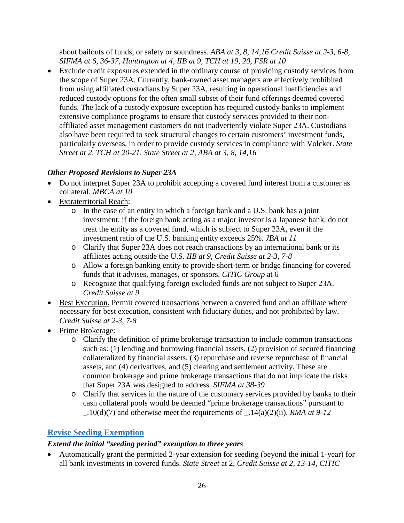about bailouts of funds, or safety or soundness. *ABA at 3, 8, 14,16 Credit Suisse at 2-3, 6-8, SIFMA at 6, 36-37, Huntington at 4, IIB at 9, TCH at 19, 20, FSR at 10*

• Exclude credit exposures extended in the ordinary course of providing custody services from the scope of Super 23A. Currently, bank-owned asset managers are effectively prohibited from using affiliated custodians by Super 23A, resulting in operational inefficiencies and reduced custody options for the often small subset of their fund offerings deemed covered funds. The lack of a custody exposure exception has required custody banks to implement extensive compliance programs to ensure that custody services provided to their nonaffiliated asset management customers do not inadvertently violate Super 23A. Custodians also have been required to seek structural changes to certain customers' investment funds, particularly overseas, in order to provide custody services in compliance with Volcker. *State Street at 2, TCH at 20-21, State Street at 2, ABA at 3, 8, 14,16*

## <span id="page-29-0"></span>*Other Proposed Revisions to Super 23A*

- Do not interpret Super 23A to prohibit accepting a covered fund interest from a customer as collateral. *MBCA at 10*
- Extraterritorial Reach:
	- o In the case of an entity in which a foreign bank and a U.S. bank has a joint investment, if the foreign bank acting as a major investor is a Japanese bank, do not treat the entity as a covered fund, which is subject to Super 23A, even if the investment ratio of the U.S. banking entity exceeds 25%. *JBA at 11*
	- o Clarify that Super 23A does not reach transactions by an international bank or its affiliates acting outside the U.S. *IIB at 9, Credit Suisse at 2-3, 7-8*
	- o Allow a foreign banking entity to provide short-term or bridge financing for covered funds that it advises, manages, or sponsors. *CITIC Group* at 6
	- o Recognize that qualifying foreign excluded funds are not subject to Super 23A. *Credit Suisse at 9*
- Best Execution. Permit covered transactions between a covered fund and an affiliate where necessary for best execution, consistent with fiduciary duties, and not prohibited by law. *Credit Suisse at 2-3, 7-8*
- Prime Brokerage:
	- o Clarify the definition of prime brokerage transaction to include common transactions such as: (1) lending and borrowing financial assets, (2) provision of secured financing collateralized by financial assets, (3) repurchase and reverse repurchase of financial assets, and (4) derivatives, and (5) clearing and settlement activity. These are common brokerage and prime brokerage transactions that do not implicate the risks that Super 23A was designed to address. *SIFMA at 38-39*
	- o Clarify that services in the nature of the customary services provided by banks to their cash collateral pools would be deemed "prime brokerage transactions" pursuant to  $.10(d)(7)$  and otherwise meet the requirements of  $.14(a)(2)(ii)$ . *RMA at 9-12*

# <span id="page-29-1"></span>**Revise Seeding Exemption**

## <span id="page-29-2"></span>*Extend the initial "seeding period" exemption to three years*

• Automatically grant the permitted 2-year extension for seeding (beyond the initial 1-year) for all bank investments in covered funds. *State Street* at 2, *Credit Suisse at 2, 13-14, CITIC*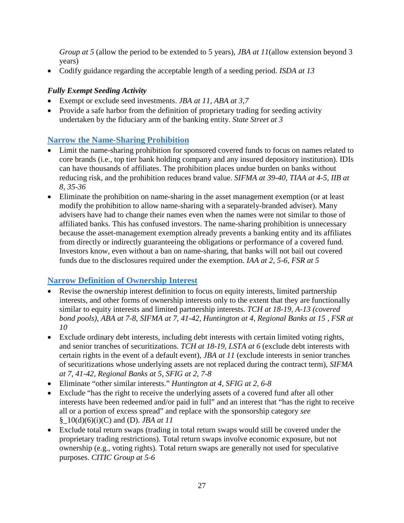*Group at 5* (allow the period to be extended to 5 years)*, JBA at 11*(allow extension beyond 3 years)

• Codify guidance regarding the acceptable length of a seeding period. *ISDA at 13*

## <span id="page-30-0"></span>*Fully Exempt Seeding Activity*

- Exempt or exclude seed investments. *JBA at 11, ABA at 3,7*
- Provide a safe harbor from the definition of proprietary trading for seeding activity undertaken by the fiduciary arm of the banking entity. *State Street at 3*

# <span id="page-30-1"></span>**Narrow the Name-Sharing Prohibition**

- Limit the name-sharing prohibition for sponsored covered funds to focus on names related to core brands (i.e., top tier bank holding company and any insured depository institution). IDIs can have thousands of affiliates. The prohibition places undue burden on banks without reducing risk, and the prohibition reduces brand value. *SIFMA at 39-40, TIAA at 4-5, IIB at 8, 35-36*
- Eliminate the prohibition on name-sharing in the asset management exemption (or at least modify the prohibition to allow name-sharing with a separately-branded adviser). Many advisers have had to change their names even when the names were not similar to those of affiliated banks. This has confused investors. The name-sharing prohibition is unnecessary because the asset-management exemption already prevents a banking entity and its affiliates from directly or indirectly guaranteeing the obligations or performance of a covered fund. Investors know, even without a ban on name-sharing, that banks will not bail out covered funds due to the disclosures required under the exemption. *IAA at 2, 5-6, FSR at 5*

# <span id="page-30-2"></span>**Narrow Definition of Ownership Interest**

- Revise the ownership interest definition to focus on equity interests, limited partnership interests, and other forms of ownership interests only to the extent that they are functionally similar to equity interests and limited partnership interests. *TCH at 18-19, A-13 (covered bond pools), ABA at 7-8, SIFMA at 7, 41-42, Huntington at 4, Regional Banks at 15 , FSR at 10*
- Exclude ordinary debt interests, including debt interests with certain limited voting rights, and senior tranches of securitizations. *TCH at 18-19, LSTA at 6* (exclude debt interests with certain rights in the event of a default event), *JBA at 11* (exclude interests in senior tranches of securitizations whose underlying assets are not replaced during the contract term), *SIFMA at 7, 41-42, Regional Banks at 5, SFIG at 2, 7-8*
- Eliminate "other similar interests." *Huntington at 4, SFIG at 2, 6-8*
- Exclude "has the right to receive the underlying assets of a covered fund after all other interests have been redeemed and/or paid in full" and an interest that "has the right to receive all or a portion of excess spread" and replace with the sponsorship category *see* §\_10(d)(6)(i)(C) and (D). *JBA at 11*
- Exclude total return swaps (trading in total return swaps would still be covered under the proprietary trading restrictions). Total return swaps involve economic exposure, but not ownership (e.g., voting rights). Total return swaps are generally not used for speculative purposes. *CITIC Group at 5-6*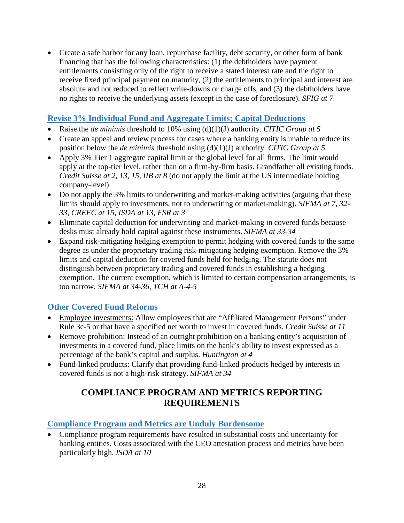• Create a safe harbor for any loan, repurchase facility, debt security, or other form of bank financing that has the following characteristics: (1) the debtholders have payment entitlements consisting only of the right to receive a stated interest rate and the right to receive fixed principal payment on maturity, (2) the entitlements to principal and interest are absolute and not reduced to reflect write-downs or charge offs, and (3) the debtholders have no rights to receive the underlying assets (except in the case of foreclosure). *SFIG at 7*

## <span id="page-31-0"></span>**Revise 3% Individual Fund and Aggregate Limits; Capital Deductions**

- Raise the *de minimis* threshold to 10% using (d)(1)(J) authority. *CITIC Group at 5*
- Create an appeal and review process for cases where a banking entity is unable to reduce its position below the *de minimis* threshold using (d)(1)(J) authority. *CITIC Group at 5*
- Apply 3% Tier 1 aggregate capital limit at the global level for all firms. The limit would apply at the top-tier level, rather than on a firm-by-firm basis. Grandfather all existing funds. *Credit Suisse at 2, 13, 15, IIB at 8* (do not apply the limit at the US intermediate holding company-level)
- Do not apply the 3% limits to underwriting and market-making activities (arguing that these limits should apply to investments, not to underwriting or market-making). *SIFMA at 7, 32- 33, CREFC at 15, ISDA at 13, FSR at 3*
- Eliminate capital deduction for underwriting and market-making in covered funds because desks must already hold capital against these instruments. *SIFMA at 33-34*
- Expand risk-mitigating hedging exemption to permit hedging with covered funds to the same degree as under the proprietary trading risk-mitigating hedging exemption. Remove the 3% limits and capital deduction for covered funds held for hedging. The statute does not distinguish between proprietary trading and covered funds in establishing a hedging exemption. The current exemption, which is limited to certain compensation arrangements, is too narrow. *SIFMA at 34-36, TCH at A-4-5*

# <span id="page-31-1"></span>**Other Covered Fund Reforms**

- Employee investments: Allow employees that are "Affiliated Management Persons" under Rule 3c-5 or that have a specified net worth to invest in covered funds. *Credit Suisse at 11*
- Remove prohibition: Instead of an outright prohibition on a banking entity's acquisition of investments in a covered fund, place limits on the bank's ability to invest expressed as a percentage of the bank's capital and surplus. *Huntington at 4*
- <span id="page-31-2"></span>• Fund-linked products: Clarify that providing fund-linked products hedged by interests in covered funds is not a high-risk strategy. *SIFMA at 34*

# **COMPLIANCE PROGRAM AND METRICS REPORTING REQUIREMENTS**

## <span id="page-31-3"></span>**Compliance Program and Metrics are Unduly Burdensome**

• Compliance program requirements have resulted in substantial costs and uncertainty for banking entities. Costs associated with the CEO attestation process and metrics have been particularly high. *ISDA at 10*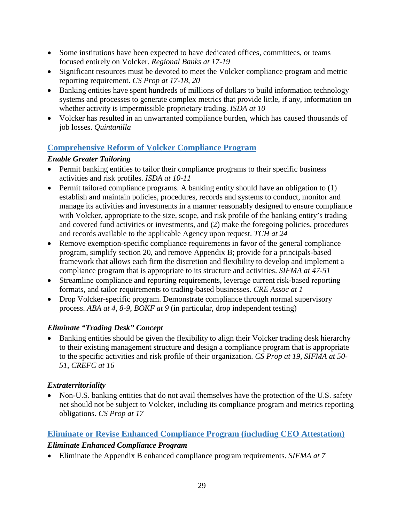- Some institutions have been expected to have dedicated offices, committees, or teams focused entirely on Volcker. *Regional Banks at 17-19*
- Significant resources must be devoted to meet the Volcker compliance program and metric reporting requirement. *CS Prop at 17-18, 20*
- Banking entities have spent hundreds of millions of dollars to build information technology systems and processes to generate complex metrics that provide little, if any, information on whether activity is impermissible proprietary trading. *ISDA at 10*
- Volcker has resulted in an unwarranted compliance burden, which has caused thousands of job losses. *Quintanilla*

# <span id="page-32-0"></span>**Comprehensive Reform of Volcker Compliance Program**

## <span id="page-32-1"></span>*Enable Greater Tailoring*

- Permit banking entities to tailor their compliance programs to their specific business activities and risk profiles. *ISDA at 10-11*
- Permit tailored compliance programs. A banking entity should have an obligation to (1) establish and maintain policies, procedures, records and systems to conduct, monitor and manage its activities and investments in a manner reasonably designed to ensure compliance with Volcker, appropriate to the size, scope, and risk profile of the banking entity's trading and covered fund activities or investments, and (2) make the foregoing policies, procedures and records available to the applicable Agency upon request. *TCH at 24*
- Remove exemption-specific compliance requirements in favor of the general compliance program, simplify section 20, and remove Appendix B; provide for a principals-based framework that allows each firm the discretion and flexibility to develop and implement a compliance program that is appropriate to its structure and activities. *SIFMA at 47-51*
- Streamline compliance and reporting requirements, leverage current risk-based reporting formats, and tailor requirements to trading-based businesses. *CRE Assoc at 1*
- Drop Volcker-specific program. Demonstrate compliance through normal supervisory process. *ABA at 4, 8-9*, *BOKF at 9* (in particular, drop independent testing)

# <span id="page-32-2"></span>*Eliminate "Trading Desk" Concept*

• Banking entities should be given the flexibility to align their Volcker trading desk hierarchy to their existing management structure and design a compliance program that is appropriate to the specific activities and risk profile of their organization. *CS Prop at 19, SIFMA at 50- 51, CREFC at 16*

# <span id="page-32-3"></span>*Extraterritoriality*

• Non-U.S. banking entities that do not avail themselves have the protection of the U.S. safety net should not be subject to Volcker, including its compliance program and metrics reporting obligations. *CS Prop at 17*

## <span id="page-32-4"></span>**Eliminate or Revise Enhanced Compliance Program (including CEO Attestation)**

## <span id="page-32-5"></span>*Eliminate Enhanced Compliance Program*

• Eliminate the Appendix B enhanced compliance program requirements. *SIFMA at 7*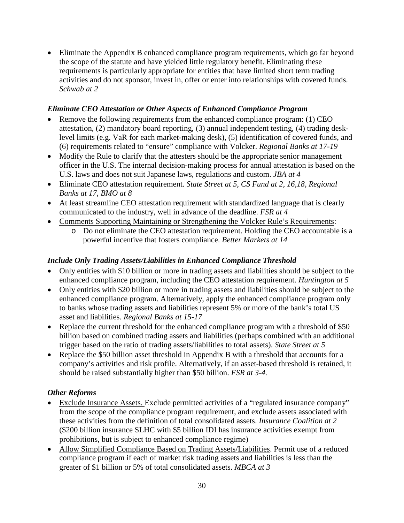• Eliminate the Appendix B enhanced compliance program requirements, which go far beyond the scope of the statute and have yielded little regulatory benefit. Eliminating these requirements is particularly appropriate for entities that have limited short term trading activities and do not sponsor, invest in, offer or enter into relationships with covered funds. *Schwab at 2*

### <span id="page-33-0"></span>*Eliminate CEO Attestation or Other Aspects of Enhanced Compliance Program*

- Remove the following requirements from the enhanced compliance program: (1) CEO attestation, (2) mandatory board reporting, (3) annual independent testing, (4) trading desklevel limits (e.g. VaR for each market-making desk), (5) identification of covered funds, and (6) requirements related to "ensure" compliance with Volcker. *Regional Banks at 17-19*
- Modify the Rule to clarify that the attesters should be the appropriate senior management officer in the U.S. The internal decision-making process for annual attestation is based on the U.S. laws and does not suit Japanese laws, regulations and custom. *JBA at 4*
- Eliminate CEO attestation requirement. *State Street at 5, CS Fund at 2, 16,18, Regional Banks at 17, BMO at 8*
- At least streamline CEO attestation requirement with standardized language that is clearly communicated to the industry, well in advance of the deadline. *FSR at 4*
- Comments Supporting Maintaining or Strengthening the Volcker Rule's Requirements:
	- o Do not eliminate the CEO attestation requirement. Holding the CEO accountable is a powerful incentive that fosters compliance. *Better Markets at 14*

## <span id="page-33-1"></span>*Include Only Trading Assets/Liabilities in Enhanced Compliance Threshold*

- Only entities with \$10 billion or more in trading assets and liabilities should be subject to the enhanced compliance program, including the CEO attestation requirement. *Huntington at 5*
- Only entities with \$20 billion or more in trading assets and liabilities should be subject to the enhanced compliance program. Alternatively, apply the enhanced compliance program only to banks whose trading assets and liabilities represent 5% or more of the bank's total US asset and liabilities. *Regional Banks at 15-17*
- Replace the current threshold for the enhanced compliance program with a threshold of \$50 billion based on combined trading assets and liabilities (perhaps combined with an additional trigger based on the ratio of trading assets/liabilities to total assets). *State Street at 5*
- Replace the \$50 billion asset threshold in Appendix B with a threshold that accounts for a company's activities and risk profile. Alternatively, if an asset-based threshold is retained, it should be raised substantially higher than \$50 billion. *FSR at 3-4.*

## <span id="page-33-2"></span>*Other Reforms*

- Exclude Insurance Assets. Exclude permitted activities of a "regulated insurance company" from the scope of the compliance program requirement, and exclude assets associated with these activities from the definition of total consolidated assets. *Insurance Coalition at 2* (\$200 billion insurance SLHC with \$5 billion IDI has insurance activities exempt from prohibitions, but is subject to enhanced compliance regime)
- Allow Simplified Compliance Based on Trading Assets/Liabilities. Permit use of a reduced compliance program if each of market risk trading assets and liabilities is less than the greater of \$1 billion or 5% of total consolidated assets. *MBCA at 3*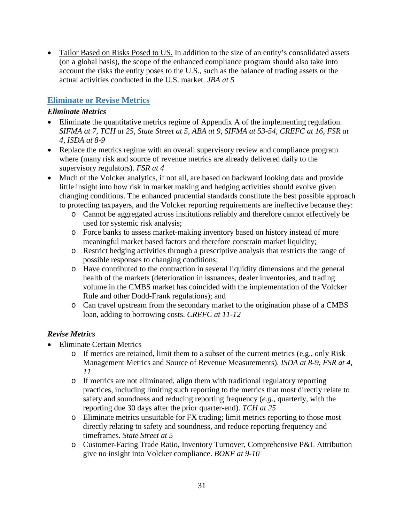• Tailor Based on Risks Posed to US. In addition to the size of an entity's consolidated assets (on a global basis), the scope of the enhanced compliance program should also take into account the risks the entity poses to the U.S., such as the balance of trading assets or the actual activities conducted in the U.S. market. *JBA at 5*

## <span id="page-34-0"></span>**Eliminate or Revise Metrics**

#### <span id="page-34-1"></span>*Eliminate Metrics*

- Eliminate the quantitative metrics regime of Appendix A of the implementing regulation. *SIFMA at 7, TCH at 25, State Street at 5, ABA at 9, SIFMA at 53-54, CREFC at 16, FSR at 4, ISDA at 8-9*
- Replace the metrics regime with an overall supervisory review and compliance program where (many risk and source of revenue metrics are already delivered daily to the supervisory regulators). *FSR at 4*
- Much of the Volcker analytics, if not all, are based on backward looking data and provide little insight into how risk in market making and hedging activities should evolve given changing conditions. The enhanced prudential standards constitute the best possible approach to protecting taxpayers, and the Volcker reporting requirements are ineffective because they:
	- o Cannot be aggregated across institutions reliably and therefore cannot effectively be used for systemic risk analysis;
	- o Force banks to assess market-making inventory based on history instead of more meaningful market based factors and therefore constrain market liquidity;
	- o Restrict hedging activities through a prescriptive analysis that restricts the range of possible responses to changing conditions;
	- o Have contributed to the contraction in several liquidity dimensions and the general health of the markets (deterioration in issuances, dealer inventories, and trading volume in the CMBS market has coincided with the implementation of the Volcker Rule and other Dodd-Frank regulations); and
	- o Can travel upstream from the secondary market to the origination phase of a CMBS loan, adding to borrowing costs. *CREFC at 11-12*

### <span id="page-34-2"></span>*Revise Metrics*

- Eliminate Certain Metrics
	- $\circ$  If metrics are retained, limit them to a subset of the current metrics (e.g., only Risk Management Metrics and Source of Revenue Measurements). *ISDA at 8-9, FSR at 4, 11*
	- o If metrics are not eliminated, align them with traditional regulatory reporting practices, including limiting such reporting to the metrics that most directly relate to safety and soundness and reducing reporting frequency (*e.g.*, quarterly, with the reporting due 30 days after the prior quarter-end). *TCH at 25*
	- o Eliminate metrics unsuitable for FX trading; limit metrics reporting to those most directly relating to safety and soundness, and reduce reporting frequency and timeframes. *State Street at 5*
	- o Customer-Facing Trade Ratio, Inventory Turnover, Comprehensive P&L Attribution give no insight into Volcker compliance. *BOKF at 9-10*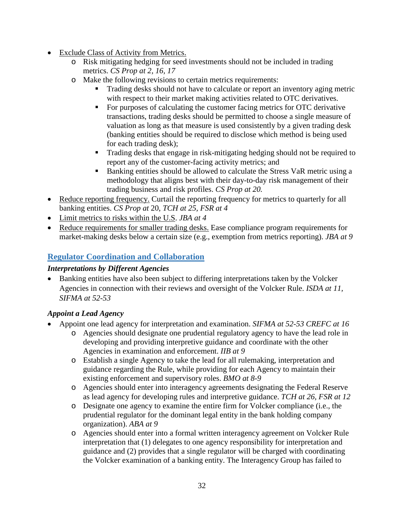- Exclude Class of Activity from Metrics.
	- o Risk mitigating hedging for seed investments should not be included in trading metrics. *CS Prop at 2, 16, 17*
	- o Make the following revisions to certain metrics requirements:
		- Trading desks should not have to calculate or report an inventory aging metric with respect to their market making activities related to OTC derivatives.
		- For purposes of calculating the customer facing metrics for OTC derivative transactions, trading desks should be permitted to choose a single measure of valuation as long as that measure is used consistently by a given trading desk (banking entities should be required to disclose which method is being used for each trading desk);
		- **Trading desks that engage in risk-mitigating hedging should not be required to** report any of the customer-facing activity metrics; and
		- Banking entities should be allowed to calculate the Stress VaR metric using a methodology that aligns best with their day-to-day risk management of their trading business and risk profiles. *CS Prop at 20.*
- Reduce reporting frequency. Curtail the reporting frequency for metrics to quarterly for all banking entities. *CS Prop at* 20, *TCH at 25, FSR at 4*
- Limit metrics to risks within the U.S. *JBA at 4*
- Reduce requirements for smaller trading desks. Ease compliance program requirements for market-making desks below a certain size (e.g., exemption from metrics reporting). *JBA at 9*

## <span id="page-35-0"></span>**Regulator Coordination and Collaboration**

### <span id="page-35-1"></span>*Interpretations by Different Agencies*

• Banking entities have also been subject to differing interpretations taken by the Volcker Agencies in connection with their reviews and oversight of the Volcker Rule. *ISDA at 11, SIFMA at 52-53*

## <span id="page-35-2"></span>*Appoint a Lead Agency*

- Appoint one lead agency for interpretation and examination. *SIFMA at 52-53 CREFC at 16*
	- o Agencies should designate one prudential regulatory agency to have the lead role in developing and providing interpretive guidance and coordinate with the other Agencies in examination and enforcement. *IIB at 9*
	- o Establish a single Agency to take the lead for all rulemaking, interpretation and guidance regarding the Rule, while providing for each Agency to maintain their existing enforcement and supervisory roles. *BMO at 8-9*
	- o Agencies should enter into interagency agreements designating the Federal Reserve as lead agency for developing rules and interpretive guidance. *TCH at 26, FSR at 12*
	- o Designate one agency to examine the entire firm for Volcker compliance (i.e., the prudential regulator for the dominant legal entity in the bank holding company organization). *ABA at 9*
	- o Agencies should enter into a formal written interagency agreement on Volcker Rule interpretation that (1) delegates to one agency responsibility for interpretation and guidance and (2) provides that a single regulator will be charged with coordinating the Volcker examination of a banking entity. The Interagency Group has failed to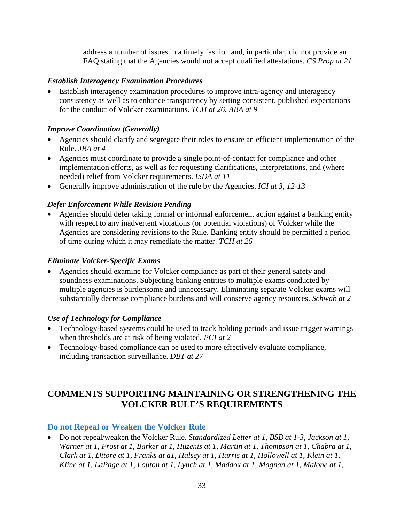address a number of issues in a timely fashion and, in particular, did not provide an FAQ stating that the Agencies would not accept qualified attestations. *CS Prop at 21*

### <span id="page-36-0"></span>*Establish Interagency Examination Procedures*

• Establish interagency examination procedures to improve intra-agency and interagency consistency as well as to enhance transparency by setting consistent, published expectations for the conduct of Volcker examinations. *TCH at 26, ABA at 9*

### <span id="page-36-1"></span>*Improve Coordination (Generally)*

- Agencies should clarify and segregate their roles to ensure an efficient implementation of the Rule. *JBA at 4*
- Agencies must coordinate to provide a single point-of-contact for compliance and other implementation efforts, as well as for requesting clarifications, interpretations, and (where needed) relief from Volcker requirements. *ISDA at 11*
- Generally improve administration of the rule by the Agencies. *ICI at 3, 12-13*

## *Defer Enforcement While Revision Pending*

• Agencies should defer taking formal or informal enforcement action against a banking entity with respect to any inadvertent violations (or potential violations) of Volcker while the Agencies are considering revisions to the Rule. Banking entity should be permitted a period of time during which it may remediate the matter. *TCH at 26*

### <span id="page-36-2"></span>*Eliminate Volcker-Specific Exams*

• Agencies should examine for Volcker compliance as part of their general safety and soundness examinations. Subjecting banking entities to multiple exams conducted by multiple agencies is burdensome and unnecessary. Eliminating separate Volcker exams will substantially decrease compliance burdens and will conserve agency resources. *Schwab at 2*

## <span id="page-36-3"></span>*Use of Technology for Compliance*

- Technology-based systems could be used to track holding periods and issue trigger warnings when thresholds are at risk of being violated. *PCI at 2*
- Technology-based compliance can be used to more effectively evaluate compliance, including transaction surveillance. *DBT at 27*

# <span id="page-36-4"></span>**COMMENTS SUPPORTING MAINTAINING OR STRENGTHENING THE VOLCKER RULE'S REQUIREMENTS**

## <span id="page-36-5"></span>**Do not Repeal or Weaken the Volcker Rule**

• Do not repeal/weaken the Volcker Rule. *Standardized Letter at 1, BSB at 1-3, Jackson at 1, Warner at 1, Frost at 1, Barker at 1, Huzenis at 1, Martin at 1, Thompson at 1, Chabra at 1, Clark at 1, Ditore at 1, Franks at a1, Halsey at 1, Harris at 1, Hollowell at 1, Klein at 1, Kline at 1, LaPage at 1, Louton at 1, Lynch at 1, Maddox at 1, Magnan at 1, Malone at 1,*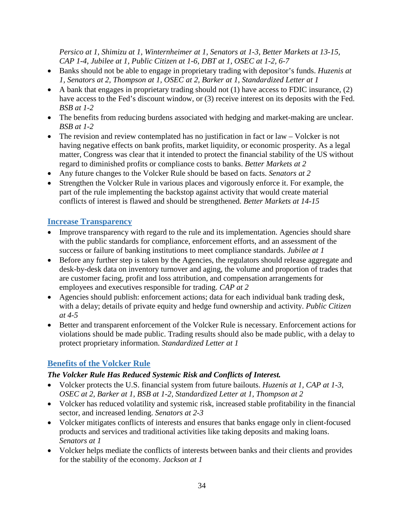*Persico at 1, Shimizu at 1, Winternheimer at 1, Senators at 1-3, Better Markets at 13-15, CAP 1-4, Jubilee at 1, Public Citizen at 1-6, DBT at 1, OSEC at 1-2, 6-7*

- Banks should not be able to engage in proprietary trading with depositor's funds. *Huzenis at 1, Senators at 2, Thompson at 1, OSEC at 2, Barker at 1, Standardized Letter at 1*
- A bank that engages in proprietary trading should not (1) have access to FDIC insurance, (2) have access to the Fed's discount window, or (3) receive interest on its deposits with the Fed. *BSB at 1-2*
- The benefits from reducing burdens associated with hedging and market-making are unclear. *BSB at 1-2*
- The revision and review contemplated has no justification in fact or law Volcker is not having negative effects on bank profits, market liquidity, or economic prosperity. As a legal matter, Congress was clear that it intended to protect the financial stability of the US without regard to diminished profits or compliance costs to banks. *Better Markets at 2*
- Any future changes to the Volcker Rule should be based on facts. *Senators at 2*
- Strengthen the Volcker Rule in various places and vigorously enforce it. For example, the part of the rule implementing the backstop against activity that would create material conflicts of interest is flawed and should be strengthened. *Better Markets at 14-15*

## <span id="page-37-0"></span>**Increase Transparency**

- Improve transparency with regard to the rule and its implementation. Agencies should share with the public standards for compliance, enforcement efforts, and an assessment of the success or failure of banking institutions to meet compliance standards. *Jubilee at 1*
- Before any further step is taken by the Agencies, the regulators should release aggregate and desk-by-desk data on inventory turnover and aging, the volume and proportion of trades that are customer facing, profit and loss attribution, and compensation arrangements for employees and executives responsible for trading. *CAP at 2*
- Agencies should publish: enforcement actions; data for each individual bank trading desk, with a delay; details of private equity and hedge fund ownership and activity. *Public Citizen at 4-5*
- Better and transparent enforcement of the Volcker Rule is necessary. Enforcement actions for violations should be made public. Trading results should also be made public, with a delay to protect proprietary information. *Standardized Letter at 1*

# <span id="page-37-1"></span>**Benefits of the Volcker Rule**

## <span id="page-37-2"></span>*The Volcker Rule Has Reduced Systemic Risk and Conflicts of Interest.*

- Volcker protects the U.S. financial system from future bailouts. *Huzenis at 1, CAP at 1-3, OSEC at 2, Barker at 1, BSB at 1-2, Standardized Letter at 1, Thompson at 2*
- Volcker has reduced volatility and systemic risk, increased stable profitability in the financial sector, and increased lending. *Senators at 2-3*
- Volcker mitigates conflicts of interests and ensures that banks engage only in client-focused products and services and traditional activities like taking deposits and making loans. *Senators at 1*
- Volcker helps mediate the conflicts of interests between banks and their clients and provides for the stability of the economy. *Jackson at 1*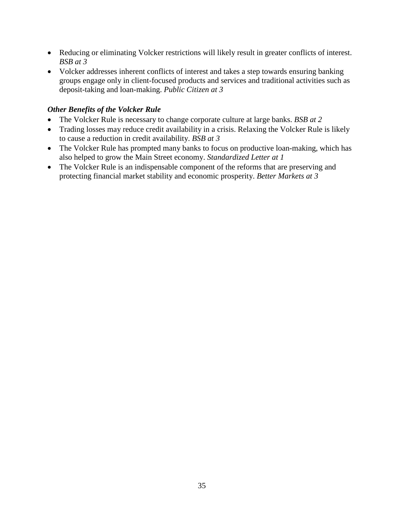- Reducing or eliminating Volcker restrictions will likely result in greater conflicts of interest. *BSB at 3*
- Volcker addresses inherent conflicts of interest and takes a step towards ensuring banking groups engage only in client-focused products and services and traditional activities such as deposit-taking and loan-making. *Public Citizen at 3*

### <span id="page-38-0"></span>*Other Benefits of the Volcker Rule*

- The Volcker Rule is necessary to change corporate culture at large banks. *BSB at 2*
- Trading losses may reduce credit availability in a crisis. Relaxing the Volcker Rule is likely to cause a reduction in credit availability. *BSB at 3*
- The Volcker Rule has prompted many banks to focus on productive loan-making, which has also helped to grow the Main Street economy. *Standardized Letter at 1*
- The Volcker Rule is an indispensable component of the reforms that are preserving and protecting financial market stability and economic prosperity. *Better Markets at 3*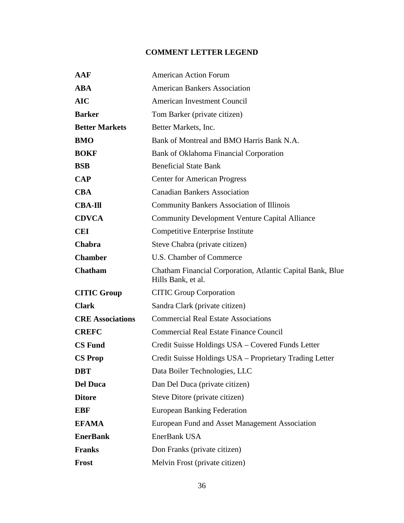# **COMMENT LETTER LEGEND**

<span id="page-39-0"></span>

| AAF                     | <b>American Action Forum</b>                                                     |
|-------------------------|----------------------------------------------------------------------------------|
| <b>ABA</b>              | <b>American Bankers Association</b>                                              |
| <b>AIC</b>              | American Investment Council                                                      |
| <b>Barker</b>           | Tom Barker (private citizen)                                                     |
| <b>Better Markets</b>   | Better Markets, Inc.                                                             |
| <b>BMO</b>              | Bank of Montreal and BMO Harris Bank N.A.                                        |
| <b>BOKF</b>             | Bank of Oklahoma Financial Corporation                                           |
| <b>BSB</b>              | <b>Beneficial State Bank</b>                                                     |
| <b>CAP</b>              | <b>Center for American Progress</b>                                              |
| <b>CBA</b>              | <b>Canadian Bankers Association</b>                                              |
| <b>CBA-Ill</b>          | <b>Community Bankers Association of Illinois</b>                                 |
| <b>CDVCA</b>            | <b>Community Development Venture Capital Alliance</b>                            |
| <b>CEI</b>              | Competitive Enterprise Institute                                                 |
| Chabra                  | Steve Chabra (private citizen)                                                   |
| <b>Chamber</b>          | U.S. Chamber of Commerce                                                         |
| Chatham                 | Chatham Financial Corporation, Atlantic Capital Bank, Blue<br>Hills Bank, et al. |
| <b>CITIC Group</b>      | <b>CITIC Group Corporation</b>                                                   |
| <b>Clark</b>            | Sandra Clark (private citizen)                                                   |
| <b>CRE Associations</b> | <b>Commercial Real Estate Associations</b>                                       |
| <b>CREFC</b>            | <b>Commercial Real Estate Finance Council</b>                                    |
| <b>CS Fund</b>          | Credit Suisse Holdings USA – Covered Funds Letter                                |
| <b>CS Prop</b>          | Credit Suisse Holdings USA – Proprietary Trading Letter                          |
| <b>DBT</b>              | Data Boiler Technologies, LLC                                                    |
| <b>Del Duca</b>         | Dan Del Duca (private citizen)                                                   |
| <b>Ditore</b>           | Steve Ditore (private citizen)                                                   |
| <b>EBF</b>              | <b>European Banking Federation</b>                                               |
| <b>EFAMA</b>            | European Fund and Asset Management Association                                   |
| <b>EnerBank</b>         | EnerBank USA                                                                     |
| <b>Franks</b>           | Don Franks (private citizen)                                                     |
| Frost                   | Melvin Frost (private citizen)                                                   |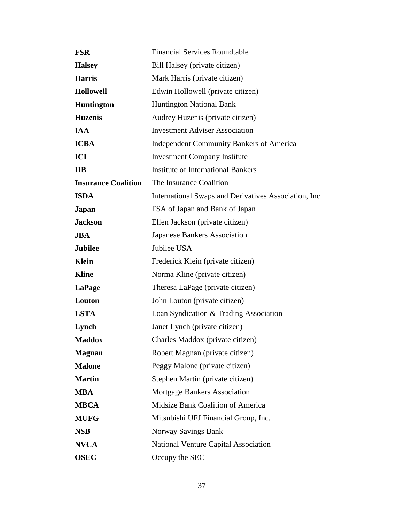| <b>FSR</b>                 | <b>Financial Services Roundtable</b>                  |
|----------------------------|-------------------------------------------------------|
| <b>Halsey</b>              | Bill Halsey (private citizen)                         |
| <b>Harris</b>              | Mark Harris (private citizen)                         |
| <b>Hollowell</b>           | Edwin Hollowell (private citizen)                     |
| <b>Huntington</b>          | <b>Huntington National Bank</b>                       |
| <b>Huzenis</b>             | Audrey Huzenis (private citizen)                      |
| <b>IAA</b>                 | <b>Investment Adviser Association</b>                 |
| <b>ICBA</b>                | <b>Independent Community Bankers of America</b>       |
| ICI                        | <b>Investment Company Institute</b>                   |
| <b>IIB</b>                 | <b>Institute of International Bankers</b>             |
| <b>Insurance Coalition</b> | The Insurance Coalition                               |
| <b>ISDA</b>                | International Swaps and Derivatives Association, Inc. |
| Japan                      | FSA of Japan and Bank of Japan                        |
| <b>Jackson</b>             | Ellen Jackson (private citizen)                       |
| <b>JBA</b>                 | <b>Japanese Bankers Association</b>                   |
| <b>Jubilee</b>             | Jubilee USA                                           |
| Klein                      | Frederick Klein (private citizen)                     |
| <b>Kline</b>               | Norma Kline (private citizen)                         |
| LaPage                     | Theresa LaPage (private citizen)                      |
| Louton                     | John Louton (private citizen)                         |
| <b>LSTA</b>                | Loan Syndication & Trading Association                |
| Lynch                      | Janet Lynch (private citizen)                         |
| <b>Maddox</b>              | Charles Maddox (private citizen)                      |
| <b>Magnan</b>              | Robert Magnan (private citizen)                       |
| <b>Malone</b>              | Peggy Malone (private citizen)                        |
| <b>Martin</b>              | Stephen Martin (private citizen)                      |
| <b>MBA</b>                 | <b>Mortgage Bankers Association</b>                   |
| <b>MBCA</b>                | Midsize Bank Coalition of America                     |
| <b>MUFG</b>                | Mitsubishi UFJ Financial Group, Inc.                  |
| <b>NSB</b>                 | Norway Savings Bank                                   |
| <b>NVCA</b>                | National Venture Capital Association                  |
| <b>OSEC</b>                | Occupy the SEC                                        |